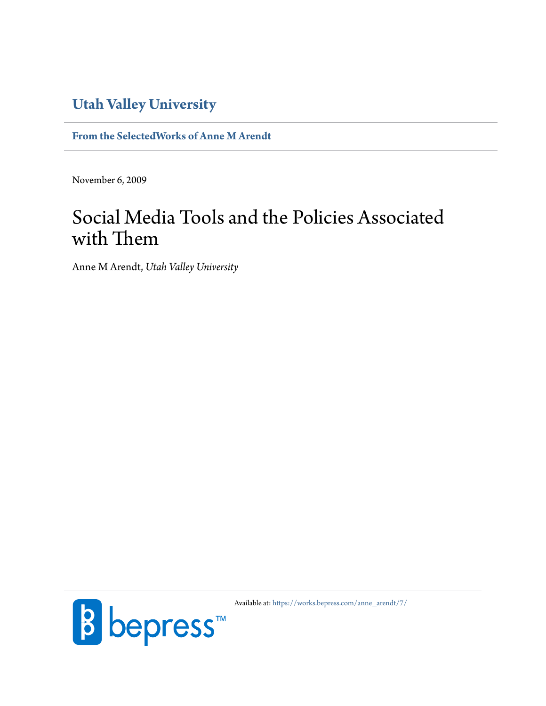# **[Utah Valley University](http://www.uvu.edu/)**

**[From the SelectedWorks of Anne M Arendt](https://works.bepress.com/anne_arendt/)**

November 6, 2009

# Social Media Tools and the Policies Associated with Them

Anne M Arendt, *Utah Valley University*



Available at: [https://works.bepress.com/anne\\_arendt/7/](https://works.bepress.com/anne_arendt/7/)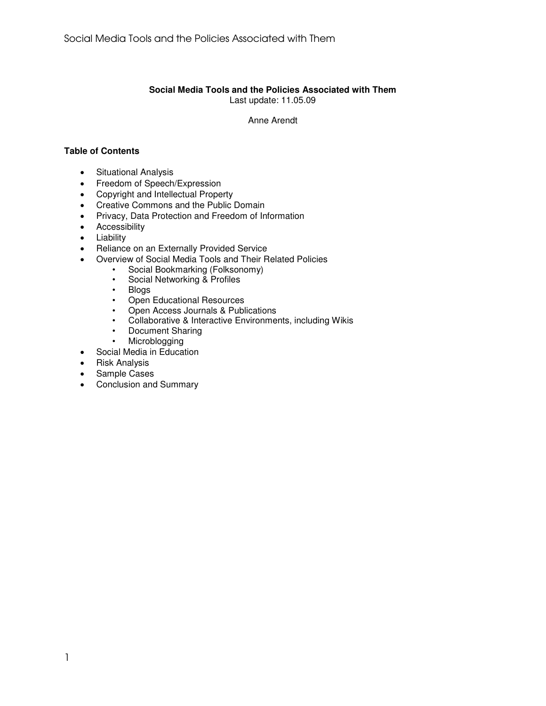#### **Social Media Tools and the Policies Associated with Them**  Last update: 11.05.09

Anne Arendt

# **Table of Contents**

- Situational Analysis
- Freedom of Speech/Expression
- Copyright and Intellectual Property
- Creative Commons and the Public Domain
- Privacy, Data Protection and Freedom of Information
- Accessibility
- Liability
- Reliance on an Externally Provided Service
- Overview of Social Media Tools and Their Related Policies
	- Social Bookmarking (Folksonomy)
	- Social Networking & Profiles
	- Blogs
	- Open Educational Resources<br>• Open Access Journals & Publ
	- Open Access Journals & Publications
	- Collaborative & Interactive Environments, including Wikis
	- Document Sharing
	- Microblogging
- Social Media in Education
- Risk Analysis
- Sample Cases
- Conclusion and Summary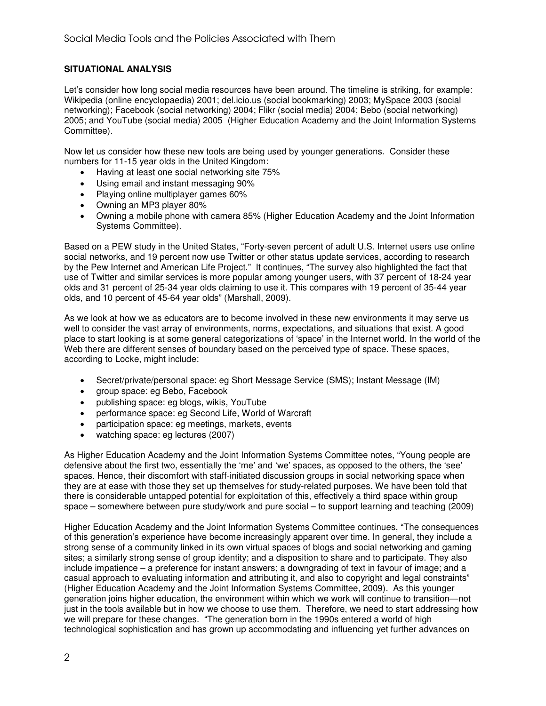# **SITUATIONAL ANALYSIS**

Let's consider how long social media resources have been around. The timeline is striking, for example: Wikipedia (online encyclopaedia) 2001; del.icio.us (social bookmarking) 2003; MySpace 2003 (social networking); Facebook (social networking) 2004; Flikr (social media) 2004; Bebo (social networking) 2005; and YouTube (social media) 2005 (Higher Education Academy and the Joint Information Systems Committee).

Now let us consider how these new tools are being used by younger generations. Consider these numbers for 11-15 year olds in the United Kingdom:

- Having at least one social networking site 75%
- Using email and instant messaging 90%
- Playing online multiplayer games 60%
- Owning an MP3 player 80%
- Owning a mobile phone with camera 85% (Higher Education Academy and the Joint Information Systems Committee).

Based on a PEW study in the United States, "Forty-seven percent of adult U.S. Internet users use online social networks, and 19 percent now use Twitter or other status update services, according to research by the Pew Internet and American Life Project." It continues, "The survey also highlighted the fact that use of Twitter and similar services is more popular among younger users, with 37 percent of 18-24 year olds and 31 percent of 25-34 year olds claiming to use it. This compares with 19 percent of 35-44 year olds, and 10 percent of 45-64 year olds" (Marshall, 2009).

As we look at how we as educators are to become involved in these new environments it may serve us well to consider the vast array of environments, norms, expectations, and situations that exist. A good place to start looking is at some general categorizations of 'space' in the Internet world. In the world of the Web there are different senses of boundary based on the perceived type of space. These spaces, according to Locke, might include:

- Secret/private/personal space: eg Short Message Service (SMS); Instant Message (IM)
- group space: eg Bebo, Facebook
- publishing space: eg blogs, wikis, YouTube
- performance space: eg Second Life, World of Warcraft
- participation space: eg meetings, markets, events
- watching space: eg lectures (2007)

As Higher Education Academy and the Joint Information Systems Committee notes, "Young people are defensive about the first two, essentially the 'me' and 'we' spaces, as opposed to the others, the 'see' spaces. Hence, their discomfort with staff-initiated discussion groups in social networking space when they are at ease with those they set up themselves for study-related purposes. We have been told that there is considerable untapped potential for exploitation of this, effectively a third space within group space – somewhere between pure study/work and pure social – to support learning and teaching (2009)

Higher Education Academy and the Joint Information Systems Committee continues, "The consequences of this generation's experience have become increasingly apparent over time. In general, they include a strong sense of a community linked in its own virtual spaces of blogs and social networking and gaming sites; a similarly strong sense of group identity; and a disposition to share and to participate. They also include impatience – a preference for instant answers; a downgrading of text in favour of image; and a casual approach to evaluating information and attributing it, and also to copyright and legal constraints" (Higher Education Academy and the Joint Information Systems Committee, 2009). As this younger generation joins higher education, the environment within which we work will continue to transition—not just in the tools available but in how we choose to use them. Therefore, we need to start addressing how we will prepare for these changes. "The generation born in the 1990s entered a world of high technological sophistication and has grown up accommodating and influencing yet further advances on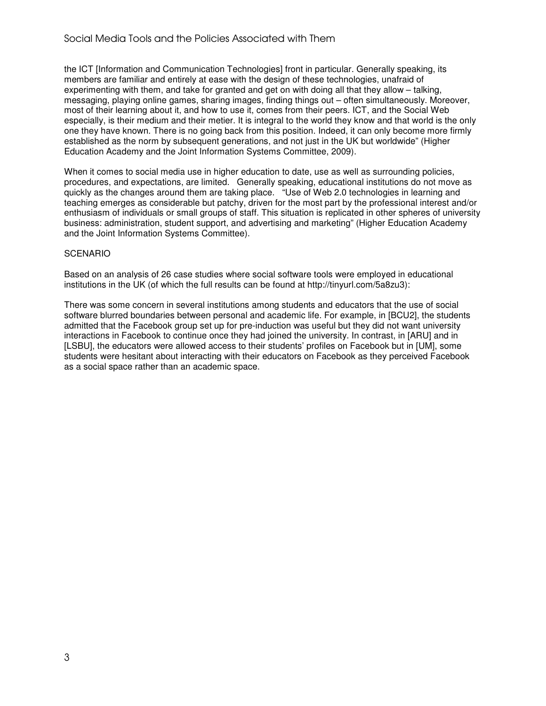the ICT [Information and Communication Technologies] front in particular. Generally speaking, its members are familiar and entirely at ease with the design of these technologies, unafraid of experimenting with them, and take for granted and get on with doing all that they allow – talking, messaging, playing online games, sharing images, finding things out – often simultaneously. Moreover, most of their learning about it, and how to use it, comes from their peers. ICT, and the Social Web especially, is their medium and their metier. It is integral to the world they know and that world is the only one they have known. There is no going back from this position. Indeed, it can only become more firmly established as the norm by subsequent generations, and not just in the UK but worldwide" (Higher Education Academy and the Joint Information Systems Committee, 2009).

When it comes to social media use in higher education to date, use as well as surrounding policies, procedures, and expectations, are limited. Generally speaking, educational institutions do not move as quickly as the changes around them are taking place. "Use of Web 2.0 technologies in learning and teaching emerges as considerable but patchy, driven for the most part by the professional interest and/or enthusiasm of individuals or small groups of staff. This situation is replicated in other spheres of university business: administration, student support, and advertising and marketing" (Higher Education Academy and the Joint Information Systems Committee).

#### **SCENARIO**

Based on an analysis of 26 case studies where social software tools were employed in educational institutions in the UK (of which the full results can be found at http://tinyurl.com/5a8zu3):

There was some concern in several institutions among students and educators that the use of social software blurred boundaries between personal and academic life. For example, in [BCU2], the students admitted that the Facebook group set up for pre-induction was useful but they did not want university interactions in Facebook to continue once they had joined the university. In contrast, in [ARU] and in [LSBU], the educators were allowed access to their students' profiles on Facebook but in [UM], some students were hesitant about interacting with their educators on Facebook as they perceived Facebook as a social space rather than an academic space.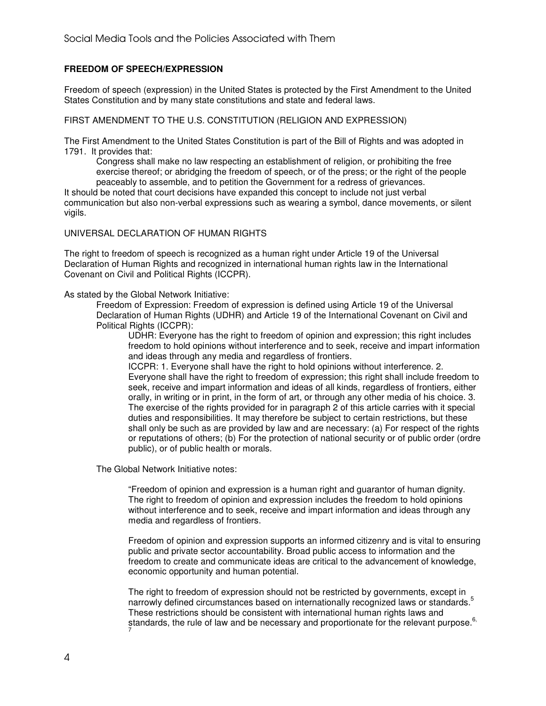# **FREEDOM OF SPEECH/EXPRESSION**

Freedom of speech (expression) in the United States is protected by the First Amendment to the United States Constitution and by many state constitutions and state and federal laws.

FIRST AMENDMENT TO THE U.S. CONSTITUTION (RELIGION AND EXPRESSION)

The First Amendment to the United States Constitution is part of the Bill of Rights and was adopted in 1791. It provides that:

Congress shall make no law respecting an establishment of religion, or prohibiting the free exercise thereof; or abridging the freedom of speech, or of the press; or the right of the people peaceably to assemble, and to petition the Government for a redress of grievances.

It should be noted that court decisions have expanded this concept to include not just verbal communication but also non-verbal expressions such as wearing a symbol, dance movements, or silent vigils.

UNIVERSAL DECLARATION OF HUMAN RIGHTS

The right to freedom of speech is recognized as a human right under Article 19 of the Universal Declaration of Human Rights and recognized in international human rights law in the International Covenant on Civil and Political Rights (ICCPR).

As stated by the Global Network Initiative:

Freedom of Expression: Freedom of expression is defined using Article 19 of the Universal Declaration of Human Rights (UDHR) and Article 19 of the International Covenant on Civil and Political Rights (ICCPR):

UDHR: Everyone has the right to freedom of opinion and expression; this right includes freedom to hold opinions without interference and to seek, receive and impart information and ideas through any media and regardless of frontiers.

ICCPR: 1. Everyone shall have the right to hold opinions without interference. 2. Everyone shall have the right to freedom of expression; this right shall include freedom to seek, receive and impart information and ideas of all kinds, regardless of frontiers, either orally, in writing or in print, in the form of art, or through any other media of his choice. 3. The exercise of the rights provided for in paragraph 2 of this article carries with it special duties and responsibilities. It may therefore be subject to certain restrictions, but these shall only be such as are provided by law and are necessary: (a) For respect of the rights or reputations of others; (b) For the protection of national security or of public order (ordre public), or of public health or morals.

The Global Network Initiative notes:

"Freedom of opinion and expression is a human right and guarantor of human dignity. The right to freedom of opinion and expression includes the freedom to hold opinions without interference and to seek, receive and impart information and ideas through any media and regardless of frontiers.

Freedom of opinion and expression supports an informed citizenry and is vital to ensuring public and private sector accountability. Broad public access to information and the freedom to create and communicate ideas are critical to the advancement of knowledge, economic opportunity and human potential.

The right to freedom of expression should not be restricted by governments, except in narrowly defined circumstances based on internationally recognized laws or standards.<sup>5</sup> These restrictions should be consistent with international human rights laws and standards, the rule of law and be necessary and proportionate for the relevant purpose. $6$ , 7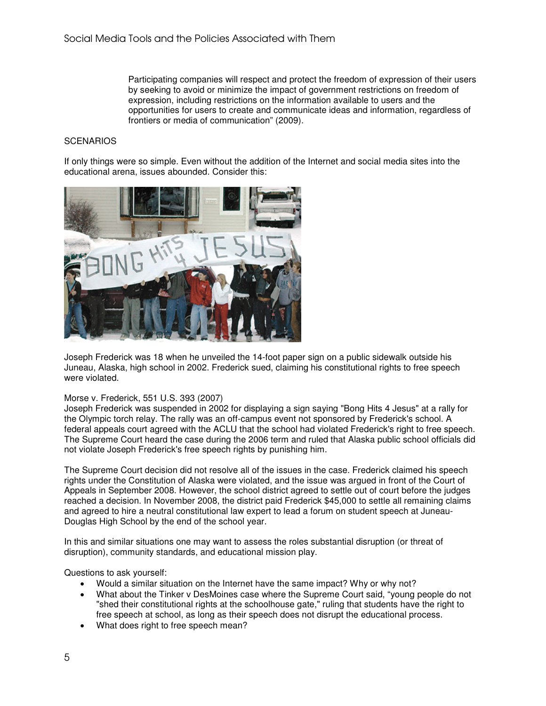Participating companies will respect and protect the freedom of expression of their users by seeking to avoid or minimize the impact of government restrictions on freedom of expression, including restrictions on the information available to users and the opportunities for users to create and communicate ideas and information, regardless of frontiers or media of communication" (2009).

#### **SCENARIOS**

If only things were so simple. Even without the addition of the Internet and social media sites into the educational arena, issues abounded. Consider this:



Joseph Frederick was 18 when he unveiled the 14-foot paper sign on a public sidewalk outside his Juneau, Alaska, high school in 2002. Frederick sued, claiming his constitutional rights to free speech were violated.

#### Morse v. Frederick, 551 U.S. 393 (2007)

Joseph Frederick was suspended in 2002 for displaying a sign saying "Bong Hits 4 Jesus" at a rally for the Olympic torch relay. The rally was an off-campus event not sponsored by Frederick's school. A federal appeals court agreed with the ACLU that the school had violated Frederick's right to free speech. The Supreme Court heard the case during the 2006 term and ruled that Alaska public school officials did not violate Joseph Frederick's free speech rights by punishing him.

The Supreme Court decision did not resolve all of the issues in the case. Frederick claimed his speech rights under the Constitution of Alaska were violated, and the issue was argued in front of the Court of Appeals in September 2008. However, the school district agreed to settle out of court before the judges reached a decision. In November 2008, the district paid Frederick \$45,000 to settle all remaining claims and agreed to hire a neutral constitutional law expert to lead a forum on student speech at Juneau-Douglas High School by the end of the school year.

In this and similar situations one may want to assess the roles substantial disruption (or threat of disruption), community standards, and educational mission play.

Questions to ask yourself:

- Would a similar situation on the Internet have the same impact? Why or why not?
- What about the Tinker v DesMoines case where the Supreme Court said, "young people do not "shed their constitutional rights at the schoolhouse gate," ruling that students have the right to free speech at school, as long as their speech does not disrupt the educational process.
- What does right to free speech mean?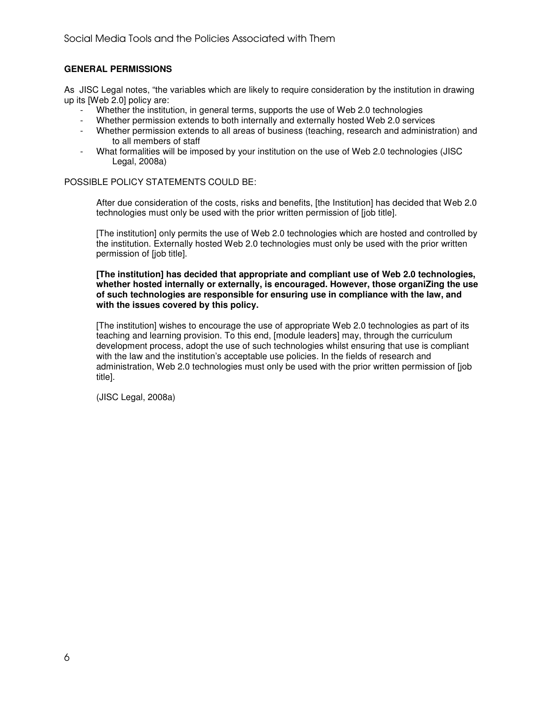# **GENERAL PERMISSIONS**

As JISC Legal notes, "the variables which are likely to require consideration by the institution in drawing up its [Web 2.0] policy are:

- Whether the institution, in general terms, supports the use of Web 2.0 technologies
- Whether permission extends to both internally and externally hosted Web 2.0 services
- Whether permission extends to all areas of business (teaching, research and administration) and to all members of staff
- What formalities will be imposed by your institution on the use of Web 2.0 technologies (JISC Legal, 2008a)

#### POSSIBLE POLICY STATEMENTS COULD BE:

After due consideration of the costs, risks and benefits, [the Institution] has decided that Web 2.0 technologies must only be used with the prior written permission of [job title].

[The institution] only permits the use of Web 2.0 technologies which are hosted and controlled by the institution. Externally hosted Web 2.0 technologies must only be used with the prior written permission of [job title].

#### **[The institution] has decided that appropriate and compliant use of Web 2.0 technologies, whether hosted internally or externally, is encouraged. However, those organiZing the use of such technologies are responsible for ensuring use in compliance with the law, and with the issues covered by this policy.**

[The institution] wishes to encourage the use of appropriate Web 2.0 technologies as part of its teaching and learning provision. To this end, [module leaders] may, through the curriculum development process, adopt the use of such technologies whilst ensuring that use is compliant with the law and the institution's acceptable use policies. In the fields of research and administration, Web 2.0 technologies must only be used with the prior written permission of [job title].

(JISC Legal, 2008a)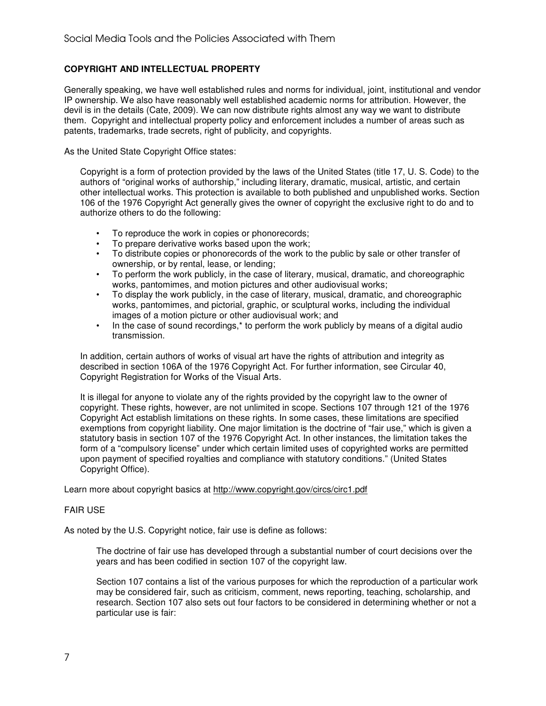# **COPYRIGHT AND INTELLECTUAL PROPERTY**

Generally speaking, we have well established rules and norms for individual, joint, institutional and vendor IP ownership. We also have reasonably well established academic norms for attribution. However, the devil is in the details (Cate, 2009). We can now distribute rights almost any way we want to distribute them. Copyright and intellectual property policy and enforcement includes a number of areas such as patents, trademarks, trade secrets, right of publicity, and copyrights.

As the United State Copyright Office states:

Copyright is a form of protection provided by the laws of the United States (title 17, U. S. Code) to the authors of "original works of authorship," including literary, dramatic, musical, artistic, and certain other intellectual works. This protection is available to both published and unpublished works. Section 106 of the 1976 Copyright Act generally gives the owner of copyright the exclusive right to do and to authorize others to do the following:

- To reproduce the work in copies or phonorecords;
- To prepare derivative works based upon the work;
- To distribute copies or phonorecords of the work to the public by sale or other transfer of ownership, or by rental, lease, or lending;
- To perform the work publicly, in the case of literary, musical, dramatic, and choreographic works, pantomimes, and motion pictures and other audiovisual works;
- To display the work publicly, in the case of literary, musical, dramatic, and choreographic works, pantomimes, and pictorial, graphic, or sculptural works, including the individual images of a motion picture or other audiovisual work; and
- In the case of sound recordings,<sup>\*</sup> to perform the work publicly by means of a digital audio transmission.

In addition, certain authors of works of visual art have the rights of attribution and integrity as described in section 106A of the 1976 Copyright Act. For further information, see Circular 40, Copyright Registration for Works of the Visual Arts.

It is illegal for anyone to violate any of the rights provided by the copyright law to the owner of copyright. These rights, however, are not unlimited in scope. Sections 107 through 121 of the 1976 Copyright Act establish limitations on these rights. In some cases, these limitations are specified exemptions from copyright liability. One major limitation is the doctrine of "fair use," which is given a statutory basis in section 107 of the 1976 Copyright Act. In other instances, the limitation takes the form of a "compulsory license" under which certain limited uses of copyrighted works are permitted upon payment of specified royalties and compliance with statutory conditions." (United States Copyright Office).

Learn more about copyright basics at http://www.copyright.gov/circs/circ1.pdf

#### FAIR USE

As noted by the U.S. Copyright notice, fair use is define as follows:

The doctrine of fair use has developed through a substantial number of court decisions over the years and has been codified in section 107 of the copyright law.

Section 107 contains a list of the various purposes for which the reproduction of a particular work may be considered fair, such as criticism, comment, news reporting, teaching, scholarship, and research. Section 107 also sets out four factors to be considered in determining whether or not a particular use is fair: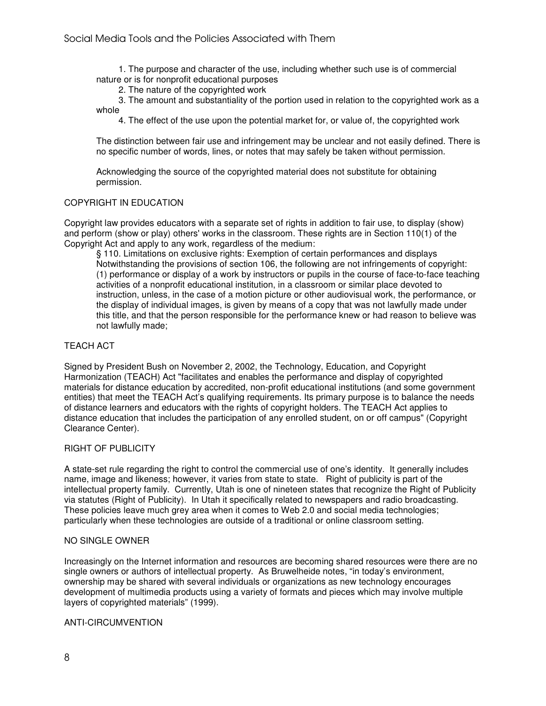1. The purpose and character of the use, including whether such use is of commercial nature or is for nonprofit educational purposes

2. The nature of the copyrighted work

 3. The amount and substantiality of the portion used in relation to the copyrighted work as a whole

4. The effect of the use upon the potential market for, or value of, the copyrighted work

The distinction between fair use and infringement may be unclear and not easily defined. There is no specific number of words, lines, or notes that may safely be taken without permission.

Acknowledging the source of the copyrighted material does not substitute for obtaining permission.

# COPYRIGHT IN EDUCATION

Copyright law provides educators with a separate set of rights in addition to fair use, to display (show) and perform (show or play) others' works in the classroom. These rights are in Section 110(1) of the Copyright Act and apply to any work, regardless of the medium:

§ 110. Limitations on exclusive rights: Exemption of certain performances and displays Notwithstanding the provisions of section 106, the following are not infringements of copyright: (1) performance or display of a work by instructors or pupils in the course of face-to-face teaching activities of a nonprofit educational institution, in a classroom or similar place devoted to instruction, unless, in the case of a motion picture or other audiovisual work, the performance, or the display of individual images, is given by means of a copy that was not lawfully made under this title, and that the person responsible for the performance knew or had reason to believe was not lawfully made;

# TEACH ACT

Signed by President Bush on November 2, 2002, the Technology, Education, and Copyright Harmonization (TEACH) Act "facilitates and enables the performance and display of copyrighted materials for distance education by accredited, non-profit educational institutions (and some government entities) that meet the TEACH Act's qualifying requirements. Its primary purpose is to balance the needs of distance learners and educators with the rights of copyright holders. The TEACH Act applies to distance education that includes the participation of any enrolled student, on or off campus" (Copyright Clearance Center).

# RIGHT OF PUBLICITY

A state-set rule regarding the right to control the commercial use of one's identity. It generally includes name, image and likeness; however, it varies from state to state. Right of publicity is part of the intellectual property family. Currently, Utah is one of nineteen states that recognize the Right of Publicity via statutes (Right of Publicity). In Utah it specifically related to newspapers and radio broadcasting. These policies leave much grey area when it comes to Web 2.0 and social media technologies; particularly when these technologies are outside of a traditional or online classroom setting.

#### NO SINGLE OWNER

Increasingly on the Internet information and resources are becoming shared resources were there are no single owners or authors of intellectual property. As Bruwelheide notes, "in today's environment, ownership may be shared with several individuals or organizations as new technology encourages development of multimedia products using a variety of formats and pieces which may involve multiple layers of copyrighted materials" (1999).

# ANTI-CIRCUMVENTION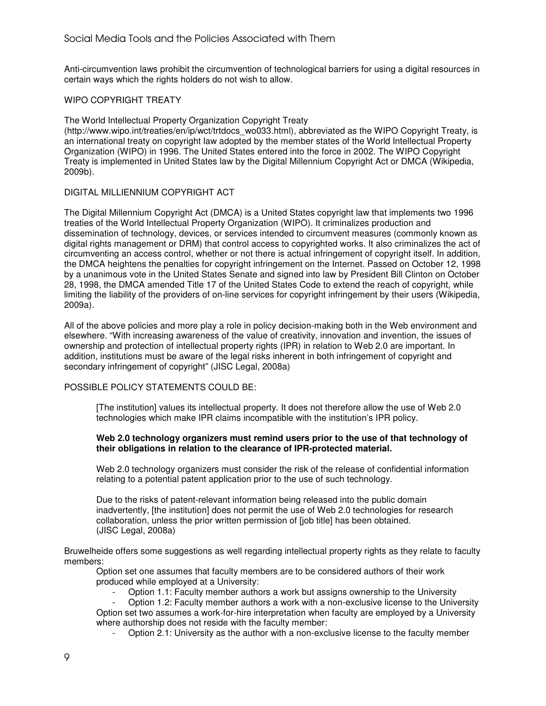Anti-circumvention laws prohibit the circumvention of technological barriers for using a digital resources in certain ways which the rights holders do not wish to allow.

# WIPO COPYRIGHT TREATY

The World Intellectual Property Organization Copyright Treaty

(http://www.wipo.int/treaties/en/ip/wct/trtdocs\_wo033.html), abbreviated as the WIPO Copyright Treaty, is an international treaty on copyright law adopted by the member states of the World Intellectual Property Organization (WIPO) in 1996. The United States entered into the force in 2002. The WIPO Copyright Treaty is implemented in United States law by the Digital Millennium Copyright Act or DMCA (Wikipedia, 2009b).

# DIGITAL MILLIENNIUM COPYRIGHT ACT

The Digital Millennium Copyright Act (DMCA) is a United States copyright law that implements two 1996 treaties of the World Intellectual Property Organization (WIPO). It criminalizes production and dissemination of technology, devices, or services intended to circumvent measures (commonly known as digital rights management or DRM) that control access to copyrighted works. It also criminalizes the act of circumventing an access control, whether or not there is actual infringement of copyright itself. In addition, the DMCA heightens the penalties for copyright infringement on the Internet. Passed on October 12, 1998 by a unanimous vote in the United States Senate and signed into law by President Bill Clinton on October 28, 1998, the DMCA amended Title 17 of the United States Code to extend the reach of copyright, while limiting the liability of the providers of on-line services for copyright infringement by their users (Wikipedia, 2009a).

All of the above policies and more play a role in policy decision-making both in the Web environment and elsewhere. "With increasing awareness of the value of creativity, innovation and invention, the issues of ownership and protection of intellectual property rights (IPR) in relation to Web 2.0 are important. In addition, institutions must be aware of the legal risks inherent in both infringement of copyright and secondary infringement of copyright" (JISC Legal, 2008a)

# POSSIBLE POLICY STATEMENTS COULD BE:

[The institution] values its intellectual property. It does not therefore allow the use of Web 2.0 technologies which make IPR claims incompatible with the institution's IPR policy.

#### **Web 2.0 technology organizers must remind users prior to the use of that technology of their obligations in relation to the clearance of IPR-protected material.**

Web 2.0 technology organizers must consider the risk of the release of confidential information relating to a potential patent application prior to the use of such technology.

Due to the risks of patent-relevant information being released into the public domain inadvertently, [the institution] does not permit the use of Web 2.0 technologies for research collaboration, unless the prior written permission of [job title] has been obtained. (JISC Legal, 2008a)

Bruwelheide offers some suggestions as well regarding intellectual property rights as they relate to faculty members:

Option set one assumes that faculty members are to be considered authors of their work produced while employed at a University:

- Option 1.1: Faculty member authors a work but assigns ownership to the University

- Option 1.2: Faculty member authors a work with a non-exclusive license to the University Option set two assumes a work-for-hire interpretation when faculty are employed by a University where authorship does not reside with the faculty member:

- Option 2.1: University as the author with a non-exclusive license to the faculty member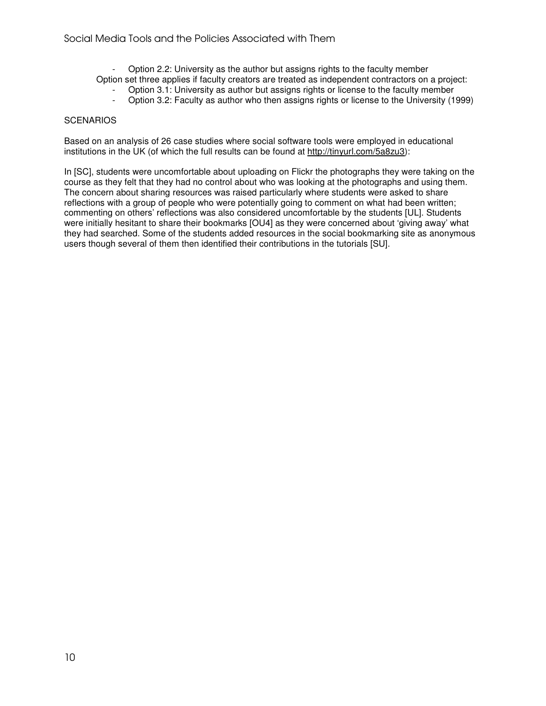- Option 2.2: University as the author but assigns rights to the faculty member
- Option set three applies if faculty creators are treated as independent contractors on a project:
	- Option 3.1: University as author but assigns rights or license to the faculty member
	- Option 3.2: Faculty as author who then assigns rights or license to the University (1999)

#### **SCENARIOS**

Based on an analysis of 26 case studies where social software tools were employed in educational institutions in the UK (of which the full results can be found at http://tinyurl.com/5a8zu3):

In [SC], students were uncomfortable about uploading on Flickr the photographs they were taking on the course as they felt that they had no control about who was looking at the photographs and using them. The concern about sharing resources was raised particularly where students were asked to share reflections with a group of people who were potentially going to comment on what had been written; commenting on others' reflections was also considered uncomfortable by the students [UL]. Students were initially hesitant to share their bookmarks [OU4] as they were concerned about 'giving away' what they had searched. Some of the students added resources in the social bookmarking site as anonymous users though several of them then identified their contributions in the tutorials [SU].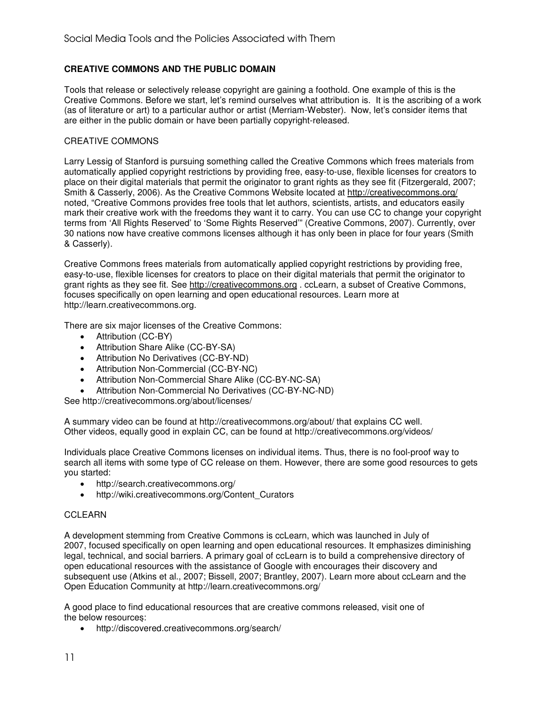# **CREATIVE COMMONS AND THE PUBLIC DOMAIN**

Tools that release or selectively release copyright are gaining a foothold. One example of this is the Creative Commons. Before we start, let's remind ourselves what attribution is. It is the ascribing of a work (as of literature or art) to a particular author or artist (Merriam-Webster). Now, let's consider items that are either in the public domain or have been partially copyright-released.

#### CREATIVE COMMONS

Larry Lessig of Stanford is pursuing something called the Creative Commons which frees materials from automatically applied copyright restrictions by providing free, easy-to-use, flexible licenses for creators to place on their digital materials that permit the originator to grant rights as they see fit (Fitzergerald, 2007; Smith & Casserly, 2006). As the Creative Commons Website located at http://creativecommons.org/ noted, "Creative Commons provides free tools that let authors, scientists, artists, and educators easily mark their creative work with the freedoms they want it to carry. You can use CC to change your copyright terms from 'All Rights Reserved' to 'Some Rights Reserved'" (Creative Commons, 2007). Currently, over 30 nations now have creative commons licenses although it has only been in place for four years (Smith & Casserly).

Creative Commons frees materials from automatically applied copyright restrictions by providing free, easy-to-use, flexible licenses for creators to place on their digital materials that permit the originator to grant rights as they see fit. See http://creativecommons.org . ccLearn, a subset of Creative Commons, focuses specifically on open learning and open educational resources. Learn more at http://learn.creativecommons.org.

There are six major licenses of the Creative Commons:

- Attribution (CC-BY)
- Attribution Share Alike (CC-BY-SA)
- Attribution No Derivatives (CC-BY-ND)
- Attribution Non-Commercial (CC-BY-NC)
- Attribution Non-Commercial Share Alike (CC-BY-NC-SA)
- Attribution Non-Commercial No Derivatives (CC-BY-NC-ND)

See http://creativecommons.org/about/licenses/

A summary video can be found at http://creativecommons.org/about/ that explains CC well. Other videos, equally good in explain CC, can be found at http://creativecommons.org/videos/

Individuals place Creative Commons licenses on individual items. Thus, there is no fool-proof way to search all items with some type of CC release on them. However, there are some good resources to gets you started:

- http://search.creativecommons.org/
- http://wiki.creativecommons.org/Content\_Curators

#### CCLEARN

A development stemming from Creative Commons is ccLearn, which was launched in July of 2007, focused specifically on open learning and open educational resources. It emphasizes diminishing legal, technical, and social barriers. A primary goal of ccLearn is to build a comprehensive directory of open educational resources with the assistance of Google with encourages their discovery and subsequent use (Atkins et al., 2007; Bissell, 2007; Brantley, 2007). Learn more about ccLearn and the Open Education Community at http://learn.creativecommons.org/

A good place to find educational resources that are creative commons released, visit one of the below resources:

• http://discovered.creativecommons.org/search/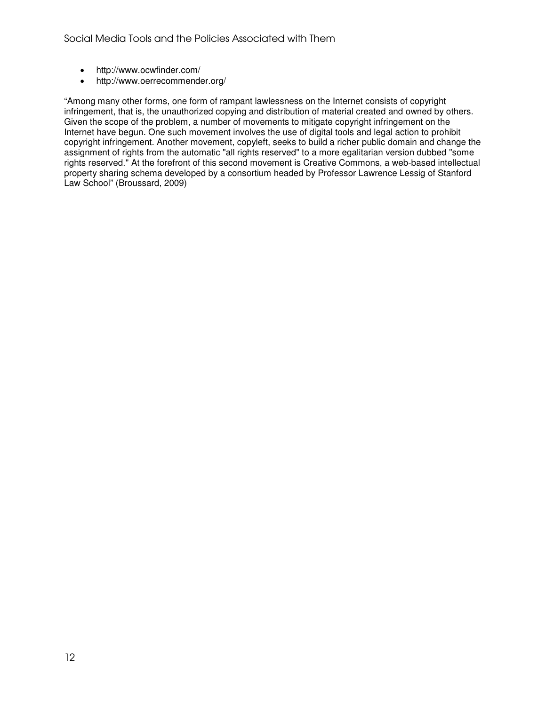- http://www.ocwfinder.com/
- http://www.oerrecommender.org/

"Among many other forms, one form of rampant lawlessness on the Internet consists of copyright infringement, that is, the unauthorized copying and distribution of material created and owned by others. Given the scope of the problem, a number of movements to mitigate copyright infringement on the Internet have begun. One such movement involves the use of digital tools and legal action to prohibit copyright infringement. Another movement, copyleft, seeks to build a richer public domain and change the assignment of rights from the automatic "all rights reserved" to a more egalitarian version dubbed "some rights reserved." At the forefront of this second movement is Creative Commons, a web-based intellectual property sharing schema developed by a consortium headed by Professor Lawrence Lessig of Stanford Law School" (Broussard, 2009)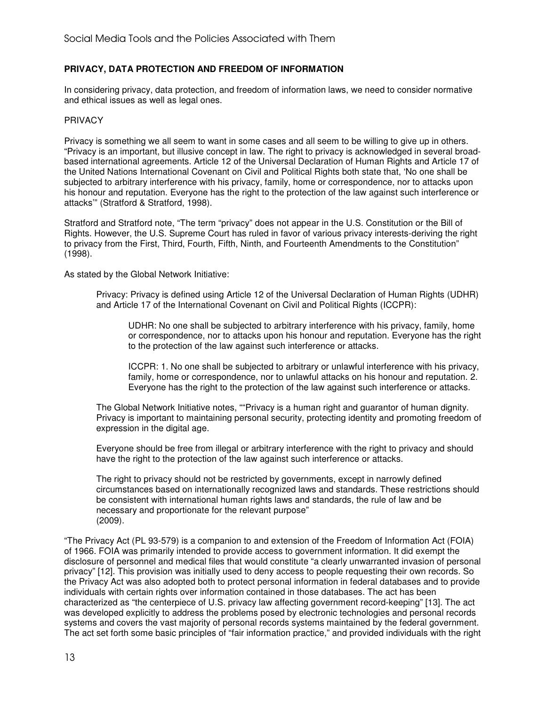# **PRIVACY, DATA PROTECTION AND FREEDOM OF INFORMATION**

In considering privacy, data protection, and freedom of information laws, we need to consider normative and ethical issues as well as legal ones.

#### PRIVACY

Privacy is something we all seem to want in some cases and all seem to be willing to give up in others. "Privacy is an important, but illusive concept in law. The right to privacy is acknowledged in several broadbased international agreements. Article 12 of the Universal Declaration of Human Rights and Article 17 of the United Nations International Covenant on Civil and Political Rights both state that, 'No one shall be subjected to arbitrary interference with his privacy, family, home or correspondence, nor to attacks upon his honour and reputation. Everyone has the right to the protection of the law against such interference or attacks'" (Stratford & Stratford, 1998).

Stratford and Stratford note, "The term "privacy" does not appear in the U.S. Constitution or the Bill of Rights. However, the U.S. Supreme Court has ruled in favor of various privacy interests-deriving the right to privacy from the First, Third, Fourth, Fifth, Ninth, and Fourteenth Amendments to the Constitution" (1998).

As stated by the Global Network Initiative:

Privacy: Privacy is defined using Article 12 of the Universal Declaration of Human Rights (UDHR) and Article 17 of the International Covenant on Civil and Political Rights (ICCPR):

UDHR: No one shall be subjected to arbitrary interference with his privacy, family, home or correspondence, nor to attacks upon his honour and reputation. Everyone has the right to the protection of the law against such interference or attacks.

ICCPR: 1. No one shall be subjected to arbitrary or unlawful interference with his privacy, family, home or correspondence, nor to unlawful attacks on his honour and reputation. 2. Everyone has the right to the protection of the law against such interference or attacks.

The Global Network Initiative notes, ""Privacy is a human right and guarantor of human dignity. Privacy is important to maintaining personal security, protecting identity and promoting freedom of expression in the digital age.

Everyone should be free from illegal or arbitrary interference with the right to privacy and should have the right to the protection of the law against such interference or attacks.

The right to privacy should not be restricted by governments, except in narrowly defined circumstances based on internationally recognized laws and standards. These restrictions should be consistent with international human rights laws and standards, the rule of law and be necessary and proportionate for the relevant purpose" (2009).

"The Privacy Act (PL 93-579) is a companion to and extension of the Freedom of Information Act (FOIA) of 1966. FOIA was primarily intended to provide access to government information. It did exempt the disclosure of personnel and medical files that would constitute "a clearly unwarranted invasion of personal privacy" [12]. This provision was initially used to deny access to people requesting their own records. So the Privacy Act was also adopted both to protect personal information in federal databases and to provide individuals with certain rights over information contained in those databases. The act has been characterized as "the centerpiece of U.S. privacy law affecting government record-keeping" [13]. The act was developed explicitly to address the problems posed by electronic technologies and personal records systems and covers the vast majority of personal records systems maintained by the federal government. The act set forth some basic principles of "fair information practice," and provided individuals with the right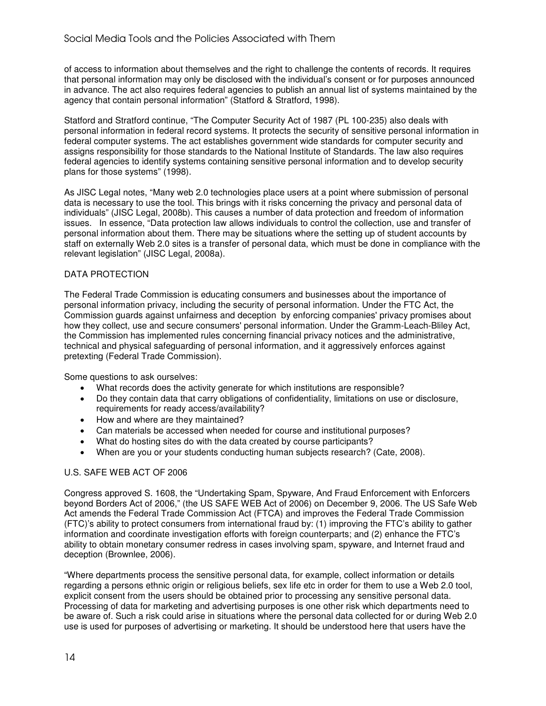of access to information about themselves and the right to challenge the contents of records. It requires that personal information may only be disclosed with the individual's consent or for purposes announced in advance. The act also requires federal agencies to publish an annual list of systems maintained by the agency that contain personal information" (Statford & Stratford, 1998).

Statford and Stratford continue, "The Computer Security Act of 1987 (PL 100-235) also deals with personal information in federal record systems. It protects the security of sensitive personal information in federal computer systems. The act establishes government wide standards for computer security and assigns responsibility for those standards to the National Institute of Standards. The law also requires federal agencies to identify systems containing sensitive personal information and to develop security plans for those systems" (1998).

As JISC Legal notes, "Many web 2.0 technologies place users at a point where submission of personal data is necessary to use the tool. This brings with it risks concerning the privacy and personal data of individuals" (JISC Legal, 2008b). This causes a number of data protection and freedom of information issues. In essence, "Data protection law allows individuals to control the collection, use and transfer of personal information about them. There may be situations where the setting up of student accounts by staff on externally Web 2.0 sites is a transfer of personal data, which must be done in compliance with the relevant legislation" (JISC Legal, 2008a).

# DATA PROTECTION

The Federal Trade Commission is educating consumers and businesses about the importance of personal information privacy, including the security of personal information. Under the FTC Act, the Commission guards against unfairness and deception by enforcing companies' privacy promises about how they collect, use and secure consumers' personal information. Under the Gramm-Leach-Bliley Act, the Commission has implemented rules concerning financial privacy notices and the administrative, technical and physical safeguarding of personal information, and it aggressively enforces against pretexting (Federal Trade Commission).

Some questions to ask ourselves:

- What records does the activity generate for which institutions are responsible?
- Do they contain data that carry obligations of confidentiality, limitations on use or disclosure, requirements for ready access/availability?
- How and where are they maintained?
- Can materials be accessed when needed for course and institutional purposes?
- What do hosting sites do with the data created by course participants?
- When are you or your students conducting human subjects research? (Cate, 2008).

# U.S. SAFE WEB ACT OF 2006

Congress approved S. 1608, the "Undertaking Spam, Spyware, And Fraud Enforcement with Enforcers beyond Borders Act of 2006," (the US SAFE WEB Act of 2006) on December 9, 2006. The US Safe Web Act amends the Federal Trade Commission Act (FTCA) and improves the Federal Trade Commission (FTC)'s ability to protect consumers from international fraud by: (1) improving the FTC's ability to gather information and coordinate investigation efforts with foreign counterparts; and (2) enhance the FTC's ability to obtain monetary consumer redress in cases involving spam, spyware, and Internet fraud and deception (Brownlee, 2006).

"Where departments process the sensitive personal data, for example, collect information or details regarding a persons ethnic origin or religious beliefs, sex life etc in order for them to use a Web 2.0 tool, explicit consent from the users should be obtained prior to processing any sensitive personal data. Processing of data for marketing and advertising purposes is one other risk which departments need to be aware of. Such a risk could arise in situations where the personal data collected for or during Web 2.0 use is used for purposes of advertising or marketing. It should be understood here that users have the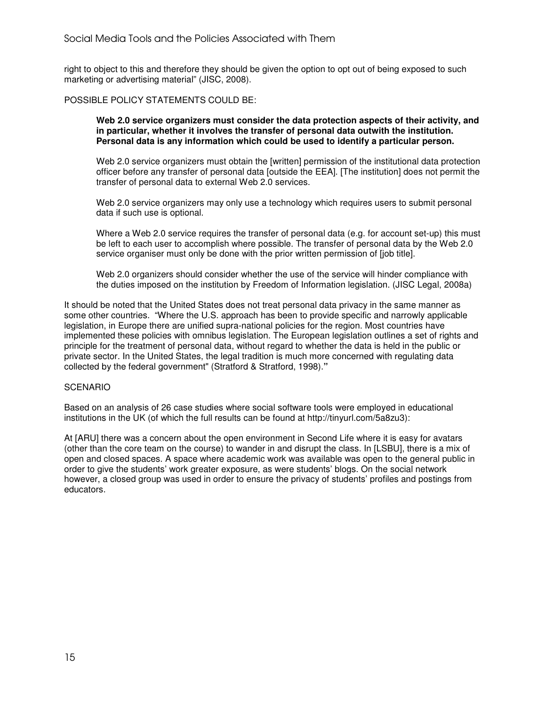right to object to this and therefore they should be given the option to opt out of being exposed to such marketing or advertising material" (JISC, 2008).

#### POSSIBLE POLICY STATEMENTS COULD BE:

**Web 2.0 service organizers must consider the data protection aspects of their activity, and in particular, whether it involves the transfer of personal data outwith the institution. Personal data is any information which could be used to identify a particular person.** 

Web 2.0 service organizers must obtain the [written] permission of the institutional data protection officer before any transfer of personal data [outside the EEA]. [The institution] does not permit the transfer of personal data to external Web 2.0 services.

Web 2.0 service organizers may only use a technology which requires users to submit personal data if such use is optional.

Where a Web 2.0 service requires the transfer of personal data (e.g. for account set-up) this must be left to each user to accomplish where possible. The transfer of personal data by the Web 2.0 service organiser must only be done with the prior written permission of [job title].

Web 2.0 organizers should consider whether the use of the service will hinder compliance with the duties imposed on the institution by Freedom of Information legislation. (JISC Legal, 2008a)

It should be noted that the United States does not treat personal data privacy in the same manner as some other countries. "Where the U.S. approach has been to provide specific and narrowly applicable legislation, in Europe there are unified supra-national policies for the region. Most countries have implemented these policies with omnibus legislation. The European legislation outlines a set of rights and principle for the treatment of personal data, without regard to whether the data is held in the public or private sector. In the United States, the legal tradition is much more concerned with regulating data collected by the federal government" (Stratford & Stratford, 1998).**"** 

#### **SCENARIO**

Based on an analysis of 26 case studies where social software tools were employed in educational institutions in the UK (of which the full results can be found at http://tinyurl.com/5a8zu3):

At [ARU] there was a concern about the open environment in Second Life where it is easy for avatars (other than the core team on the course) to wander in and disrupt the class. In [LSBU], there is a mix of open and closed spaces. A space where academic work was available was open to the general public in order to give the students' work greater exposure, as were students' blogs. On the social network however, a closed group was used in order to ensure the privacy of students' profiles and postings from educators.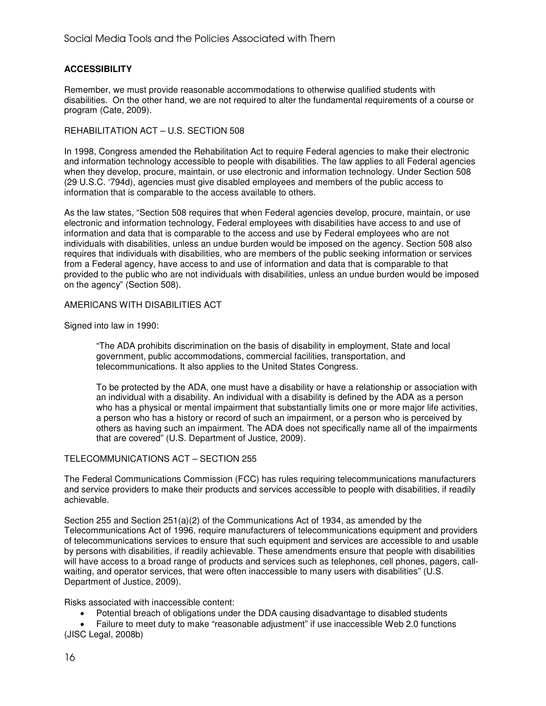# **ACCESSIBILITY**

Remember, we must provide reasonable accommodations to otherwise qualified students with disabilities. On the other hand, we are not required to alter the fundamental requirements of a course or program (Cate, 2009).

# REHABILITATION ACT – U.S. SECTION 508

In 1998, Congress amended the Rehabilitation Act to require Federal agencies to make their electronic and information technology accessible to people with disabilities. The law applies to all Federal agencies when they develop, procure, maintain, or use electronic and information technology. Under Section 508 (29 U.S.C. '794d), agencies must give disabled employees and members of the public access to information that is comparable to the access available to others.

As the law states, "Section 508 requires that when Federal agencies develop, procure, maintain, or use electronic and information technology, Federal employees with disabilities have access to and use of information and data that is comparable to the access and use by Federal employees who are not individuals with disabilities, unless an undue burden would be imposed on the agency. Section 508 also requires that individuals with disabilities, who are members of the public seeking information or services from a Federal agency, have access to and use of information and data that is comparable to that provided to the public who are not individuals with disabilities, unless an undue burden would be imposed on the agency" (Section 508).

#### AMERICANS WITH DISABILITIES ACT

Signed into law in 1990:

"The ADA prohibits discrimination on the basis of disability in employment, State and local government, public accommodations, commercial facilities, transportation, and telecommunications. It also applies to the United States Congress.

To be protected by the ADA, one must have a disability or have a relationship or association with an individual with a disability. An individual with a disability is defined by the ADA as a person who has a physical or mental impairment that substantially limits one or more major life activities, a person who has a history or record of such an impairment, or a person who is perceived by others as having such an impairment. The ADA does not specifically name all of the impairments that are covered" (U.S. Department of Justice, 2009).

# TELECOMMUNICATIONS ACT – SECTION 255

The Federal Communications Commission (FCC) has rules requiring telecommunications manufacturers and service providers to make their products and services accessible to people with disabilities, if readily achievable.

Section 255 and Section 251(a)(2) of the Communications Act of 1934, as amended by the Telecommunications Act of 1996, require manufacturers of telecommunications equipment and providers of telecommunications services to ensure that such equipment and services are accessible to and usable by persons with disabilities, if readily achievable. These amendments ensure that people with disabilities will have access to a broad range of products and services such as telephones, cell phones, pagers, callwaiting, and operator services, that were often inaccessible to many users with disabilities" (U.S. Department of Justice, 2009).

Risks associated with inaccessible content:

• Potential breach of obligations under the DDA causing disadvantage to disabled students

• Failure to meet duty to make "reasonable adjustment" if use inaccessible Web 2.0 functions (JISC Legal, 2008b)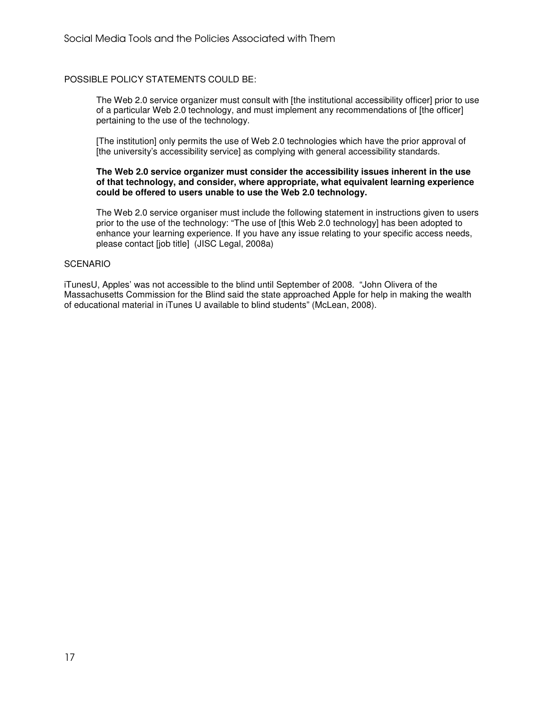#### POSSIBLE POLICY STATEMENTS COULD BE:

The Web 2.0 service organizer must consult with [the institutional accessibility officer] prior to use of a particular Web 2.0 technology, and must implement any recommendations of [the officer] pertaining to the use of the technology.

[The institution] only permits the use of Web 2.0 technologies which have the prior approval of [the university's accessibility service] as complying with general accessibility standards.

#### **The Web 2.0 service organizer must consider the accessibility issues inherent in the use of that technology, and consider, where appropriate, what equivalent learning experience could be offered to users unable to use the Web 2.0 technology.**

The Web 2.0 service organiser must include the following statement in instructions given to users prior to the use of the technology: "The use of [this Web 2.0 technology] has been adopted to enhance your learning experience. If you have any issue relating to your specific access needs, please contact [job title] (JISC Legal, 2008a)

#### **SCENARIO**

iTunesU, Apples' was not accessible to the blind until September of 2008. "John Olivera of the Massachusetts Commission for the Blind said the state approached Apple for help in making the wealth of educational material in iTunes U available to blind students" (McLean, 2008).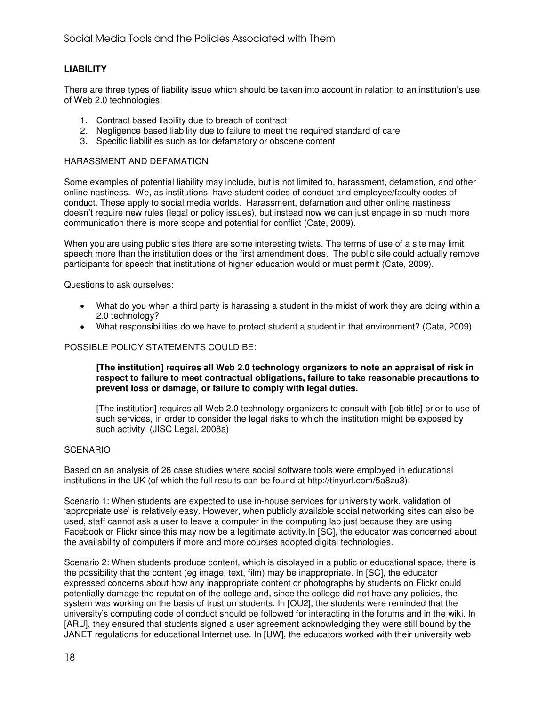# **LIABILITY**

There are three types of liability issue which should be taken into account in relation to an institution's use of Web 2.0 technologies:

- 1. Contract based liability due to breach of contract
- 2. Negligence based liability due to failure to meet the required standard of care
- 3. Specific liabilities such as for defamatory or obscene content

#### HARASSMENT AND DEFAMATION

Some examples of potential liability may include, but is not limited to, harassment, defamation, and other online nastiness. We, as institutions, have student codes of conduct and employee/faculty codes of conduct. These apply to social media worlds. Harassment, defamation and other online nastiness doesn't require new rules (legal or policy issues), but instead now we can just engage in so much more communication there is more scope and potential for conflict (Cate, 2009).

When you are using public sites there are some interesting twists. The terms of use of a site may limit speech more than the institution does or the first amendment does. The public site could actually remove participants for speech that institutions of higher education would or must permit (Cate, 2009).

Questions to ask ourselves:

- What do you when a third party is harassing a student in the midst of work they are doing within a 2.0 technology?
- What responsibilities do we have to protect student a student in that environment? (Cate, 2009)

#### POSSIBLE POLICY STATEMENTS COULD BE:

#### **[The institution] requires all Web 2.0 technology organizers to note an appraisal of risk in respect to failure to meet contractual obligations, failure to take reasonable precautions to prevent loss or damage, or failure to comply with legal duties.**

[The institution] requires all Web 2.0 technology organizers to consult with [job title] prior to use of such services, in order to consider the legal risks to which the institution might be exposed by such activity (JISC Legal, 2008a)

#### SCENARIO

Based on an analysis of 26 case studies where social software tools were employed in educational institutions in the UK (of which the full results can be found at http://tinyurl.com/5a8zu3):

Scenario 1: When students are expected to use in-house services for university work, validation of 'appropriate use' is relatively easy. However, when publicly available social networking sites can also be used, staff cannot ask a user to leave a computer in the computing lab just because they are using Facebook or Flickr since this may now be a legitimate activity.In [SC], the educator was concerned about the availability of computers if more and more courses adopted digital technologies.

Scenario 2: When students produce content, which is displayed in a public or educational space, there is the possibility that the content (eg image, text, film) may be inappropriate. In [SC], the educator expressed concerns about how any inappropriate content or photographs by students on Flickr could potentially damage the reputation of the college and, since the college did not have any policies, the system was working on the basis of trust on students. In [OU2], the students were reminded that the university's computing code of conduct should be followed for interacting in the forums and in the wiki. In [ARU], they ensured that students signed a user agreement acknowledging they were still bound by the JANET regulations for educational Internet use. In [UW], the educators worked with their university web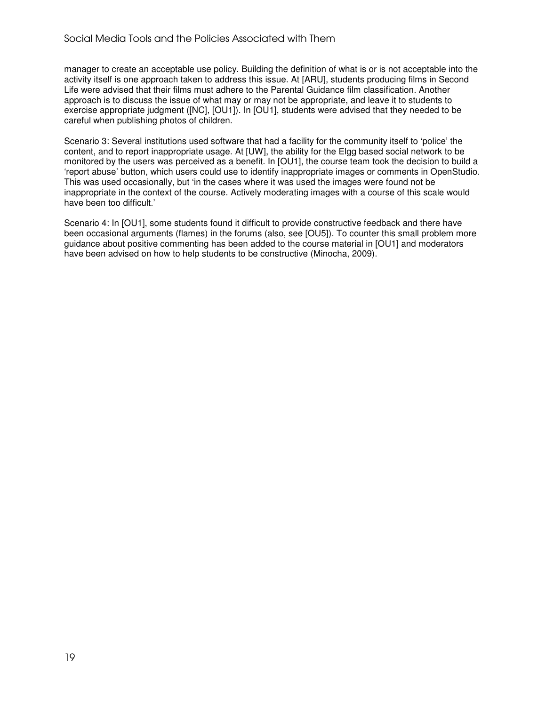manager to create an acceptable use policy. Building the definition of what is or is not acceptable into the activity itself is one approach taken to address this issue. At [ARU], students producing films in Second Life were advised that their films must adhere to the Parental Guidance film classification. Another approach is to discuss the issue of what may or may not be appropriate, and leave it to students to exercise appropriate judgment ([NC], [OU1]). In [OU1], students were advised that they needed to be careful when publishing photos of children.

Scenario 3: Several institutions used software that had a facility for the community itself to 'police' the content, and to report inappropriate usage. At [UW], the ability for the Elgg based social network to be monitored by the users was perceived as a benefit. In [OU1], the course team took the decision to build a 'report abuse' button, which users could use to identify inappropriate images or comments in OpenStudio. This was used occasionally, but 'in the cases where it was used the images were found not be inappropriate in the context of the course. Actively moderating images with a course of this scale would have been too difficult.'

Scenario 4: In [OU1], some students found it difficult to provide constructive feedback and there have been occasional arguments (flames) in the forums (also, see [OU5]). To counter this small problem more guidance about positive commenting has been added to the course material in [OU1] and moderators have been advised on how to help students to be constructive (Minocha, 2009).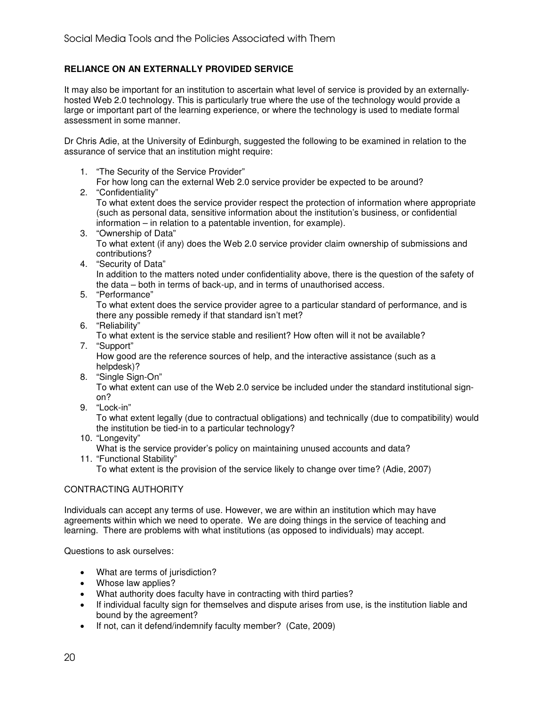# **RELIANCE ON AN EXTERNALLY PROVIDED SERVICE**

It may also be important for an institution to ascertain what level of service is provided by an externallyhosted Web 2.0 technology. This is particularly true where the use of the technology would provide a large or important part of the learning experience, or where the technology is used to mediate formal assessment in some manner.

Dr Chris Adie, at the University of Edinburgh, suggested the following to be examined in relation to the assurance of service that an institution might require:

- 1. "The Security of the Service Provider"
- For how long can the external Web 2.0 service provider be expected to be around?
- 2. "Confidentiality"

To what extent does the service provider respect the protection of information where appropriate (such as personal data, sensitive information about the institution's business, or confidential information – in relation to a patentable invention, for example).

- 3. "Ownership of Data" To what extent (if any) does the Web 2.0 service provider claim ownership of submissions and contributions?
- 4. "Security of Data"

In addition to the matters noted under confidentiality above, there is the question of the safety of the data – both in terms of back-up, and in terms of unauthorised access.

5. "Performance"

To what extent does the service provider agree to a particular standard of performance, and is there any possible remedy if that standard isn't met?

6. "Reliability"

To what extent is the service stable and resilient? How often will it not be available?

7. "Support"

How good are the reference sources of help, and the interactive assistance (such as a helpdesk)?

8. "Single Sign-On"

To what extent can use of the Web 2.0 service be included under the standard institutional signon?

9. "Lock-in"

To what extent legally (due to contractual obligations) and technically (due to compatibility) would the institution be tied-in to a particular technology?

10. "Longevity"

What is the service provider's policy on maintaining unused accounts and data?

11. "Functional Stability"

To what extent is the provision of the service likely to change over time? (Adie, 2007)

# CONTRACTING AUTHORITY

Individuals can accept any terms of use. However, we are within an institution which may have agreements within which we need to operate. We are doing things in the service of teaching and learning. There are problems with what institutions (as opposed to individuals) may accept.

Questions to ask ourselves:

- What are terms of jurisdiction?
- Whose law applies?
- What authority does faculty have in contracting with third parties?
- If individual faculty sign for themselves and dispute arises from use, is the institution liable and bound by the agreement?
- If not, can it defend/indemnify faculty member? (Cate, 2009)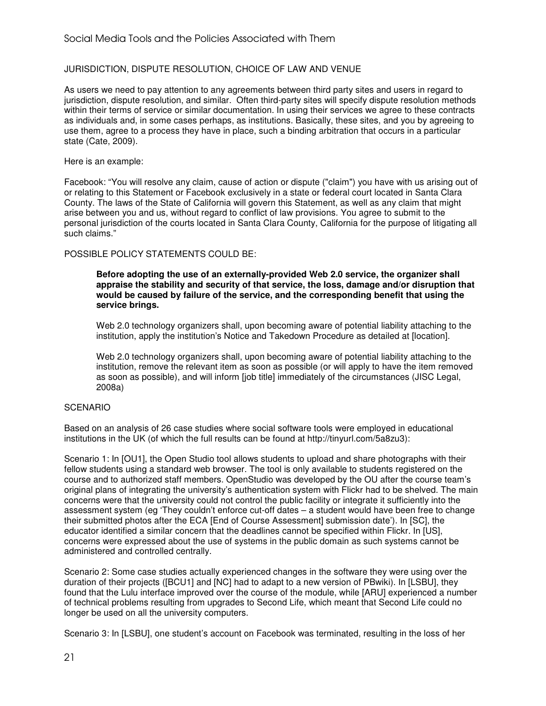# JURISDICTION, DISPUTE RESOLUTION, CHOICE OF LAW AND VENUE

As users we need to pay attention to any agreements between third party sites and users in regard to jurisdiction, dispute resolution, and similar. Often third-party sites will specify dispute resolution methods within their terms of service or similar documentation. In using their services we agree to these contracts as individuals and, in some cases perhaps, as institutions. Basically, these sites, and you by agreeing to use them, agree to a process they have in place, such a binding arbitration that occurs in a particular state (Cate, 2009).

Here is an example:

Facebook: "You will resolve any claim, cause of action or dispute ("claim") you have with us arising out of or relating to this Statement or Facebook exclusively in a state or federal court located in Santa Clara County. The laws of the State of California will govern this Statement, as well as any claim that might arise between you and us, without regard to conflict of law provisions. You agree to submit to the personal jurisdiction of the courts located in Santa Clara County, California for the purpose of litigating all such claims."

#### POSSIBLE POLICY STATEMENTS COULD BE:

**Before adopting the use of an externally-provided Web 2.0 service, the organizer shall appraise the stability and security of that service, the loss, damage and/or disruption that would be caused by failure of the service, and the corresponding benefit that using the service brings.** 

Web 2.0 technology organizers shall, upon becoming aware of potential liability attaching to the institution, apply the institution's Notice and Takedown Procedure as detailed at [location].

Web 2.0 technology organizers shall, upon becoming aware of potential liability attaching to the institution, remove the relevant item as soon as possible (or will apply to have the item removed as soon as possible), and will inform [job title] immediately of the circumstances (JISC Legal, 2008a)

# **SCENARIO**

Based on an analysis of 26 case studies where social software tools were employed in educational institutions in the UK (of which the full results can be found at http://tinyurl.com/5a8zu3):

Scenario 1: In [OU1], the Open Studio tool allows students to upload and share photographs with their fellow students using a standard web browser. The tool is only available to students registered on the course and to authorized staff members. OpenStudio was developed by the OU after the course team's original plans of integrating the university's authentication system with Flickr had to be shelved. The main concerns were that the university could not control the public facility or integrate it sufficiently into the assessment system (eg 'They couldn't enforce cut-off dates – a student would have been free to change their submitted photos after the ECA [End of Course Assessment] submission date'). In [SC], the educator identified a similar concern that the deadlines cannot be specified within Flickr. In [US], concerns were expressed about the use of systems in the public domain as such systems cannot be administered and controlled centrally.

Scenario 2: Some case studies actually experienced changes in the software they were using over the duration of their projects ([BCU1] and [NC] had to adapt to a new version of PBwiki). In [LSBU], they found that the Lulu interface improved over the course of the module, while [ARU] experienced a number of technical problems resulting from upgrades to Second Life, which meant that Second Life could no longer be used on all the university computers.

Scenario 3: In [LSBU], one student's account on Facebook was terminated, resulting in the loss of her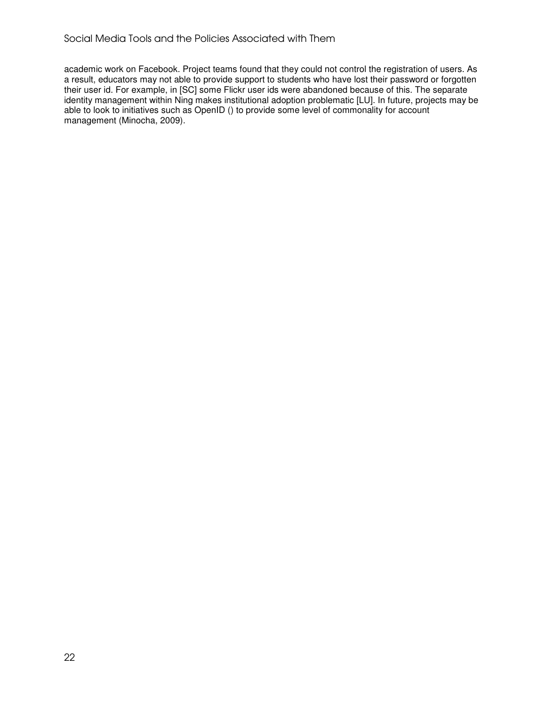academic work on Facebook. Project teams found that they could not control the registration of users. As a result, educators may not able to provide support to students who have lost their password or forgotten their user id. For example, in [SC] some Flickr user ids were abandoned because of this. The separate identity management within Ning makes institutional adoption problematic [LU]. In future, projects may be able to look to initiatives such as OpenID () to provide some level of commonality for account management (Minocha, 2009).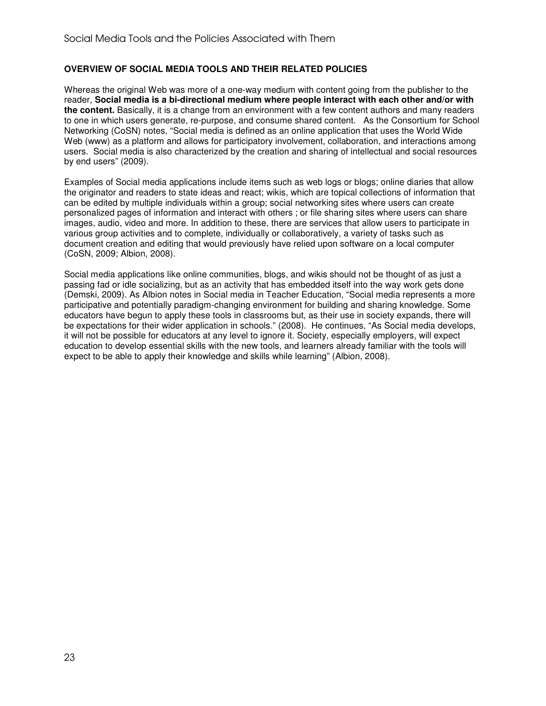# **OVERVIEW OF SOCIAL MEDIA TOOLS AND THEIR RELATED POLICIES**

Whereas the original Web was more of a one-way medium with content going from the publisher to the reader, **Social media is a bi-directional medium where people interact with each other and/or with the content.** Basically, it is a change from an environment with a few content authors and many readers to one in which users generate, re-purpose, and consume shared content. As the Consortium for School Networking (CoSN) notes, "Social media is defined as an online application that uses the World Wide Web (www) as a platform and allows for participatory involvement, collaboration, and interactions among users. Social media is also characterized by the creation and sharing of intellectual and social resources by end users" (2009).

Examples of Social media applications include items such as web logs or blogs; online diaries that allow the originator and readers to state ideas and react; wikis, which are topical collections of information that can be edited by multiple individuals within a group; social networking sites where users can create personalized pages of information and interact with others ; or file sharing sites where users can share images, audio, video and more. In addition to these, there are services that allow users to participate in various group activities and to complete, individually or collaboratively, a variety of tasks such as document creation and editing that would previously have relied upon software on a local computer (CoSN, 2009; Albion, 2008).

Social media applications like online communities, blogs, and wikis should not be thought of as just a passing fad or idle socializing, but as an activity that has embedded itself into the way work gets done (Demski, 2009). As Albion notes in Social media in Teacher Education, "Social media represents a more participative and potentially paradigm-changing environment for building and sharing knowledge. Some educators have begun to apply these tools in classrooms but, as their use in society expands, there will be expectations for their wider application in schools." (2008). He continues, "As Social media develops, it will not be possible for educators at any level to ignore it. Society, especially employers, will expect education to develop essential skills with the new tools, and learners already familiar with the tools will expect to be able to apply their knowledge and skills while learning" (Albion, 2008).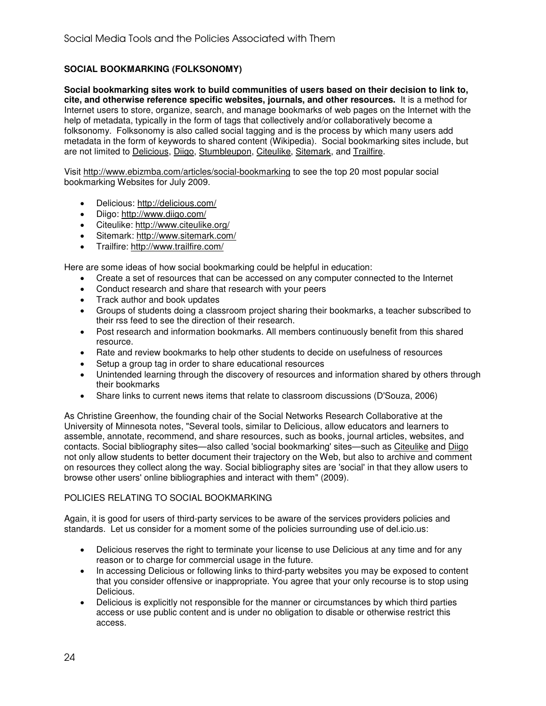# **SOCIAL BOOKMARKING (FOLKSONOMY)**

**Social bookmarking sites work to build communities of users based on their decision to link to, cite, and otherwise reference specific websites, journals, and other resources.** It is a method for Internet users to store, organize, search, and manage bookmarks of web pages on the Internet with the help of metadata, typically in the form of tags that collectively and/or collaboratively become a folksonomy. Folksonomy is also called social tagging and is the process by which many users add metadata in the form of keywords to shared content (Wikipedia). Social bookmarking sites include, but are not limited to Delicious, Diigo, Stumbleupon, Citeulike, Sitemark, and Trailfire.

Visit http://www.ebizmba.com/articles/social-bookmarking to see the top 20 most popular social bookmarking Websites for July 2009.

- Delicious: http://delicious.com/
- Diigo: http://www.diigo.com/
- Citeulike: http://www.citeulike.org/
- Sitemark: http://www.sitemark.com/
- Trailfire: http://www.trailfire.com/

Here are some ideas of how social bookmarking could be helpful in education:

- Create a set of resources that can be accessed on any computer connected to the Internet
- Conduct research and share that research with your peers
- Track author and book updates
- Groups of students doing a classroom project sharing their bookmarks, a teacher subscribed to their rss feed to see the direction of their research.
- Post research and information bookmarks. All members continuously benefit from this shared resource.
- Rate and review bookmarks to help other students to decide on usefulness of resources
- Setup a group tag in order to share educational resources
- Unintended learning through the discovery of resources and information shared by others through their bookmarks
- Share links to current news items that relate to classroom discussions (D'Souza, 2006)

As Christine Greenhow, the founding chair of the Social Networks Research Collaborative at the University of Minnesota notes, "Several tools, similar to Delicious, allow educators and learners to assemble, annotate, recommend, and share resources, such as books, journal articles, websites, and contacts. Social bibliography sites—also called 'social bookmarking' sites—such as Citeulike and Diigo not only allow students to better document their trajectory on the Web, but also to archive and comment on resources they collect along the way. Social bibliography sites are 'social' in that they allow users to browse other users' online bibliographies and interact with them" (2009).

# POLICIES RELATING TO SOCIAL BOOKMARKING

Again, it is good for users of third-party services to be aware of the services providers policies and standards. Let us consider for a moment some of the policies surrounding use of del.icio.us:

- Delicious reserves the right to terminate your license to use Delicious at any time and for any reason or to charge for commercial usage in the future.
- In accessing Delicious or following links to third-party websites you may be exposed to content that you consider offensive or inappropriate. You agree that your only recourse is to stop using Delicious.
- Delicious is explicitly not responsible for the manner or circumstances by which third parties access or use public content and is under no obligation to disable or otherwise restrict this access.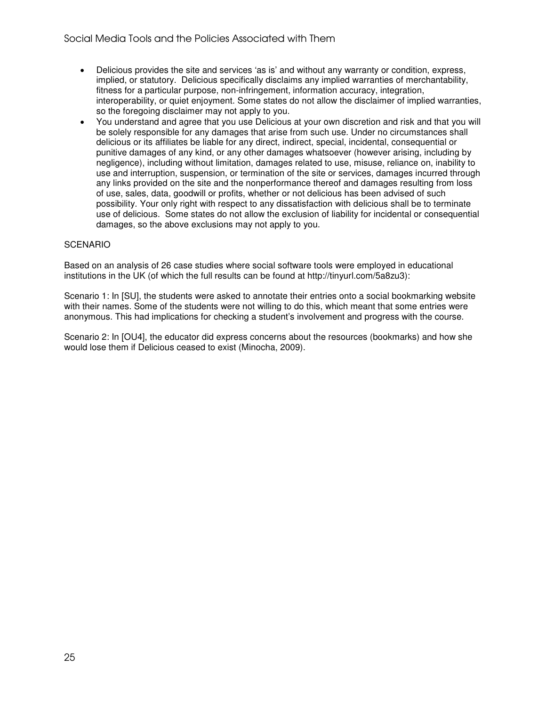- Delicious provides the site and services 'as is' and without any warranty or condition, express, implied, or statutory. Delicious specifically disclaims any implied warranties of merchantability, fitness for a particular purpose, non-infringement, information accuracy, integration, interoperability, or quiet enjoyment. Some states do not allow the disclaimer of implied warranties, so the foregoing disclaimer may not apply to you.
- You understand and agree that you use Delicious at your own discretion and risk and that you will be solely responsible for any damages that arise from such use. Under no circumstances shall delicious or its affiliates be liable for any direct, indirect, special, incidental, consequential or punitive damages of any kind, or any other damages whatsoever (however arising, including by negligence), including without limitation, damages related to use, misuse, reliance on, inability to use and interruption, suspension, or termination of the site or services, damages incurred through any links provided on the site and the nonperformance thereof and damages resulting from loss of use, sales, data, goodwill or profits, whether or not delicious has been advised of such possibility. Your only right with respect to any dissatisfaction with delicious shall be to terminate use of delicious. Some states do not allow the exclusion of liability for incidental or consequential damages, so the above exclusions may not apply to you.

# **SCENARIO**

Based on an analysis of 26 case studies where social software tools were employed in educational institutions in the UK (of which the full results can be found at http://tinyurl.com/5a8zu3):

Scenario 1: In [SU], the students were asked to annotate their entries onto a social bookmarking website with their names. Some of the students were not willing to do this, which meant that some entries were anonymous. This had implications for checking a student's involvement and progress with the course.

Scenario 2: In [OU4], the educator did express concerns about the resources (bookmarks) and how she would lose them if Delicious ceased to exist (Minocha, 2009).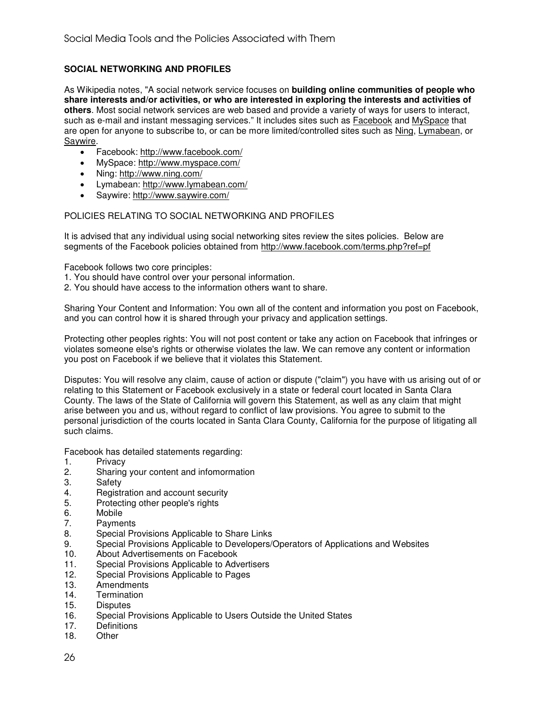# **SOCIAL NETWORKING AND PROFILES**

As Wikipedia notes, "A social network service focuses on **building online communities of people who share interests and/or activities, or who are interested in exploring the interests and activities of others**. Most social network services are web based and provide a variety of ways for users to interact, such as e-mail and instant messaging services." It includes sites such as Facebook and MySpace that are open for anyone to subscribe to, or can be more limited/controlled sites such as Ning, Lymabean, or Saywire.

- Facebook: http://www.facebook.com/
- MySpace: http://www.myspace.com/
- Ning: http://www.ning.com/
- Lymabean: http://www.lymabean.com/
- Saywire: http://www.saywire.com/

# POLICIES RELATING TO SOCIAL NETWORKING AND PROFILES

It is advised that any individual using social networking sites review the sites policies. Below are segments of the Facebook policies obtained from http://www.facebook.com/terms.php?ref=pf

Facebook follows two core principles:

- 1. You should have control over your personal information.
- 2. You should have access to the information others want to share.

Sharing Your Content and Information: You own all of the content and information you post on Facebook, and you can control how it is shared through your privacy and application settings.

Protecting other peoples rights: You will not post content or take any action on Facebook that infringes or violates someone else's rights or otherwise violates the law. We can remove any content or information you post on Facebook if we believe that it violates this Statement.

Disputes: You will resolve any claim, cause of action or dispute ("claim") you have with us arising out of or relating to this Statement or Facebook exclusively in a state or federal court located in Santa Clara County. The laws of the State of California will govern this Statement, as well as any claim that might arise between you and us, without regard to conflict of law provisions. You agree to submit to the personal jurisdiction of the courts located in Santa Clara County, California for the purpose of litigating all such claims.

Facebook has detailed statements regarding:

- 1. Privacy
- 2. Sharing your content and infomormation
- 3. Safety
- 4. Registration and account security<br>5. Protecting other people's rights
- Protecting other people's rights
- 6. Mobile<br>7 Payme
- Payments
- 8. Special Provisions Applicable to Share Links
- 9. Special Provisions Applicable to Developers/Operators of Applications and Websites<br>10. About Advertisements on Facebook
- About Advertisements on Facebook
- 11. Special Provisions Applicable to Advertisers
- 12. Special Provisions Applicable to Pages<br>13. Amendments
- **Amendments**
- 14. Termination
- 15. Disputes<br>16. Special P
- Special Provisions Applicable to Users Outside the United States
- 17. Definitions
- 18. Other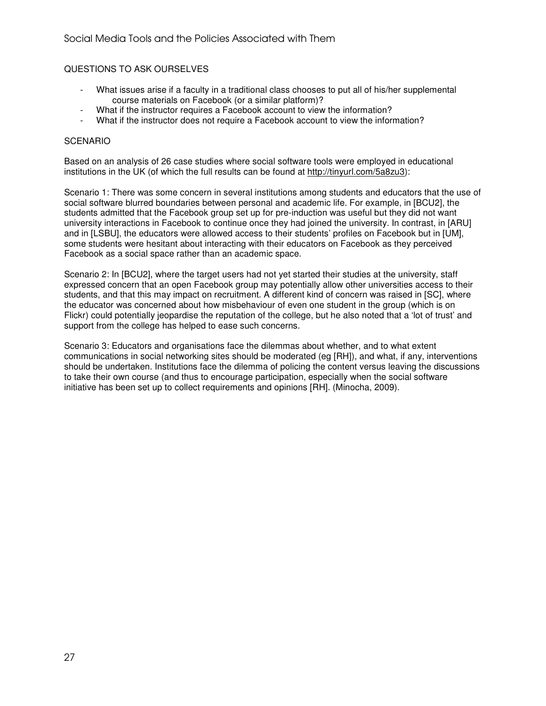# QUESTIONS TO ASK OURSELVES

- What issues arise if a faculty in a traditional class chooses to put all of his/her supplemental course materials on Facebook (or a similar platform)?
	- What if the instructor requires a Facebook account to view the information?
- What if the instructor does not require a Facebook account to view the information?

#### **SCENARIO**

Based on an analysis of 26 case studies where social software tools were employed in educational institutions in the UK (of which the full results can be found at http://tinyurl.com/5a8zu3):

Scenario 1: There was some concern in several institutions among students and educators that the use of social software blurred boundaries between personal and academic life. For example, in [BCU2], the students admitted that the Facebook group set up for pre-induction was useful but they did not want university interactions in Facebook to continue once they had joined the university. In contrast, in [ARU] and in [LSBU], the educators were allowed access to their students' profiles on Facebook but in [UM], some students were hesitant about interacting with their educators on Facebook as they perceived Facebook as a social space rather than an academic space.

Scenario 2: In [BCU2], where the target users had not yet started their studies at the university, staff expressed concern that an open Facebook group may potentially allow other universities access to their students, and that this may impact on recruitment. A different kind of concern was raised in [SC], where the educator was concerned about how misbehaviour of even one student in the group (which is on Flickr) could potentially jeopardise the reputation of the college, but he also noted that a 'lot of trust' and support from the college has helped to ease such concerns.

Scenario 3: Educators and organisations face the dilemmas about whether, and to what extent communications in social networking sites should be moderated (eg [RH]), and what, if any, interventions should be undertaken. Institutions face the dilemma of policing the content versus leaving the discussions to take their own course (and thus to encourage participation, especially when the social software initiative has been set up to collect requirements and opinions [RH]. (Minocha, 2009).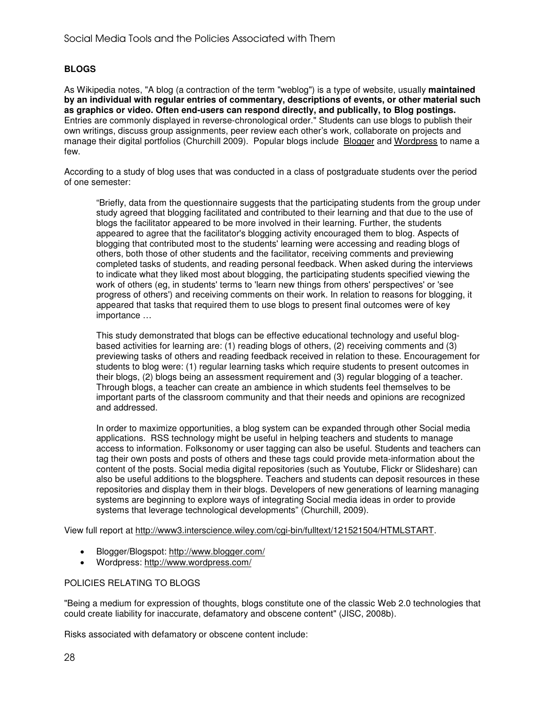# **BLOGS**

As Wikipedia notes, "A blog (a contraction of the term "weblog") is a type of website, usually **maintained by an individual with regular entries of commentary, descriptions of events, or other material such as graphics or video. Often end-users can respond directly, and publically, to Blog postings.** Entries are commonly displayed in reverse-chronological order." Students can use blogs to publish their own writings, discuss group assignments, peer review each other's work, collaborate on projects and manage their digital portfolios (Churchill 2009). Popular blogs include Blogger and Wordpress to name a few.

According to a study of blog uses that was conducted in a class of postgraduate students over the period of one semester:

"Briefly, data from the questionnaire suggests that the participating students from the group under study agreed that blogging facilitated and contributed to their learning and that due to the use of blogs the facilitator appeared to be more involved in their learning. Further, the students appeared to agree that the facilitator's blogging activity encouraged them to blog. Aspects of blogging that contributed most to the students' learning were accessing and reading blogs of others, both those of other students and the facilitator, receiving comments and previewing completed tasks of students, and reading personal feedback. When asked during the interviews to indicate what they liked most about blogging, the participating students specified viewing the work of others (eg, in students' terms to 'learn new things from others' perspectives' or 'see progress of others') and receiving comments on their work. In relation to reasons for blogging, it appeared that tasks that required them to use blogs to present final outcomes were of key importance …

This study demonstrated that blogs can be effective educational technology and useful blogbased activities for learning are: (1) reading blogs of others, (2) receiving comments and (3) previewing tasks of others and reading feedback received in relation to these. Encouragement for students to blog were: (1) regular learning tasks which require students to present outcomes in their blogs, (2) blogs being an assessment requirement and (3) regular blogging of a teacher. Through blogs, a teacher can create an ambience in which students feel themselves to be important parts of the classroom community and that their needs and opinions are recognized and addressed.

In order to maximize opportunities, a blog system can be expanded through other Social media applications. RSS technology might be useful in helping teachers and students to manage access to information. Folksonomy or user tagging can also be useful. Students and teachers can tag their own posts and posts of others and these tags could provide meta-information about the content of the posts. Social media digital repositories (such as Youtube, Flickr or Slideshare) can also be useful additions to the blogsphere. Teachers and students can deposit resources in these repositories and display them in their blogs. Developers of new generations of learning managing systems are beginning to explore ways of integrating Social media ideas in order to provide systems that leverage technological developments" (Churchill, 2009).

View full report at http://www3.interscience.wiley.com/cgi-bin/fulltext/121521504/HTMLSTART.

- Blogger/Blogspot: http://www.blogger.com/
- Wordpress: http://www.wordpress.com/

# POLICIES RELATING TO BLOGS

"Being a medium for expression of thoughts, blogs constitute one of the classic Web 2.0 technologies that could create liability for inaccurate, defamatory and obscene content" (JISC, 2008b).

Risks associated with defamatory or obscene content include: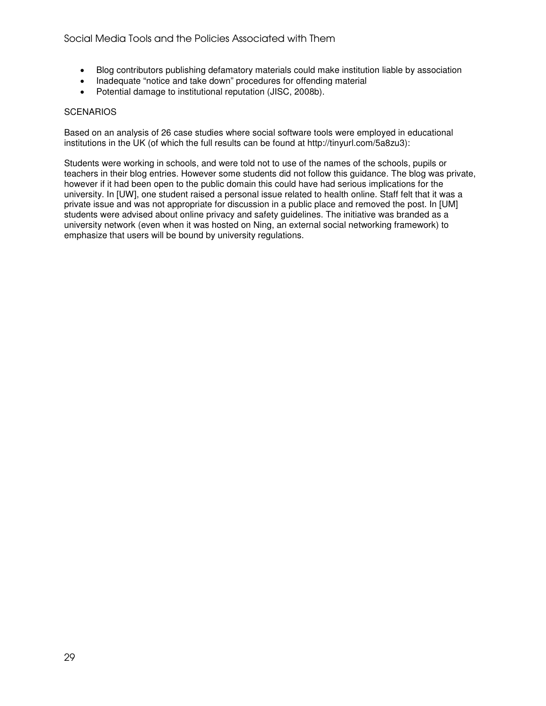- Blog contributors publishing defamatory materials could make institution liable by association
- Inadequate "notice and take down" procedures for offending material
- Potential damage to institutional reputation (JISC, 2008b).

#### **SCENARIOS**

Based on an analysis of 26 case studies where social software tools were employed in educational institutions in the UK (of which the full results can be found at http://tinyurl.com/5a8zu3):

Students were working in schools, and were told not to use of the names of the schools, pupils or teachers in their blog entries. However some students did not follow this guidance. The blog was private, however if it had been open to the public domain this could have had serious implications for the university. In [UW], one student raised a personal issue related to health online. Staff felt that it was a private issue and was not appropriate for discussion in a public place and removed the post. In [UM] students were advised about online privacy and safety guidelines. The initiative was branded as a university network (even when it was hosted on Ning, an external social networking framework) to emphasize that users will be bound by university regulations.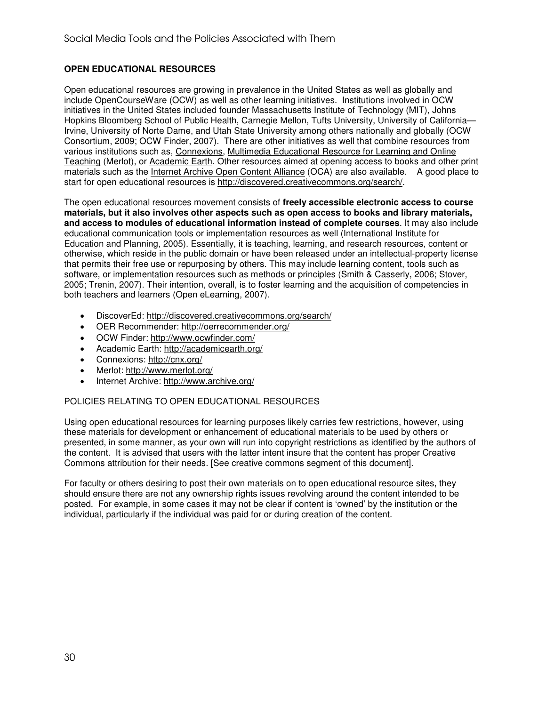# **OPEN EDUCATIONAL RESOURCES**

Open educational resources are growing in prevalence in the United States as well as globally and include OpenCourseWare (OCW) as well as other learning initiatives. Institutions involved in OCW initiatives in the United States included founder Massachusetts Institute of Technology (MIT), Johns Hopkins Bloomberg School of Public Health, Carnegie Mellon, Tufts University, University of California— Irvine, University of Norte Dame, and Utah State University among others nationally and globally (OCW Consortium, 2009; OCW Finder, 2007). There are other initiatives as well that combine resources from various institutions such as, Connexions, Multimedia Educational Resource for Learning and Online Teaching (Merlot), or Academic Earth. Other resources aimed at opening access to books and other print materials such as the Internet Archive Open Content Alliance (OCA) are also available. A good place to start for open educational resources is http://discovered.creativecommons.org/search/.

The open educational resources movement consists of **freely accessible electronic access to course materials, but it also involves other aspects such as open access to books and library materials, and access to modules of educational information instead of complete courses**. It may also include educational communication tools or implementation resources as well (International Institute for Education and Planning, 2005). Essentially, it is teaching, learning, and research resources, content or otherwise, which reside in the public domain or have been released under an intellectual-property license that permits their free use or repurposing by others. This may include learning content, tools such as software, or implementation resources such as methods or principles (Smith & Casserly, 2006; Stover, 2005; Trenin, 2007). Their intention, overall, is to foster learning and the acquisition of competencies in both teachers and learners (Open eLearning, 2007).

- DiscoverEd: http://discovered.creativecommons.org/search/
- OER Recommender: http://oerrecommender.org/
- OCW Finder: http://www.ocwfinder.com/
- Academic Earth: http://academicearth.org/
- Connexions: http://cnx.org/
- Merlot: http://www.merlot.org/
- Internet Archive: http://www.archive.org/

# POLICIES RELATING TO OPEN EDUCATIONAL RESOURCES

Using open educational resources for learning purposes likely carries few restrictions, however, using these materials for development or enhancement of educational materials to be used by others or presented, in some manner, as your own will run into copyright restrictions as identified by the authors of the content. It is advised that users with the latter intent insure that the content has proper Creative Commons attribution for their needs. [See creative commons segment of this document].

For faculty or others desiring to post their own materials on to open educational resource sites, they should ensure there are not any ownership rights issues revolving around the content intended to be posted. For example, in some cases it may not be clear if content is 'owned' by the institution or the individual, particularly if the individual was paid for or during creation of the content.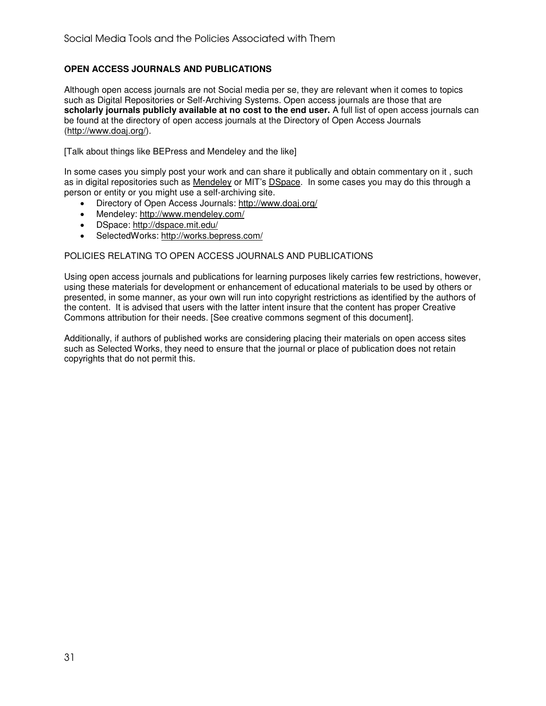# **OPEN ACCESS JOURNALS AND PUBLICATIONS**

Although open access journals are not Social media per se, they are relevant when it comes to topics such as Digital Repositories or Self-Archiving Systems. Open access journals are those that are **scholarly journals publicly available at no cost to the end user.** A full list of open access journals can be found at the directory of open access journals at the Directory of Open Access Journals (http://www.doaj.org/).

[Talk about things like BEPress and Mendeley and the like]

In some cases you simply post your work and can share it publically and obtain commentary on it , such as in digital repositories such as Mendeley or MIT's DSpace. In some cases you may do this through a person or entity or you might use a self-archiving site.

- Directory of Open Access Journals: http://www.doaj.org/
- Mendeley: http://www.mendeley.com/
- DSpace: http://dspace.mit.edu/
- SelectedWorks: http://works.bepress.com/

# POLICIES RELATING TO OPEN ACCESS JOURNALS AND PUBLICATIONS

Using open access journals and publications for learning purposes likely carries few restrictions, however, using these materials for development or enhancement of educational materials to be used by others or presented, in some manner, as your own will run into copyright restrictions as identified by the authors of the content. It is advised that users with the latter intent insure that the content has proper Creative Commons attribution for their needs. [See creative commons segment of this document].

Additionally, if authors of published works are considering placing their materials on open access sites such as Selected Works, they need to ensure that the journal or place of publication does not retain copyrights that do not permit this.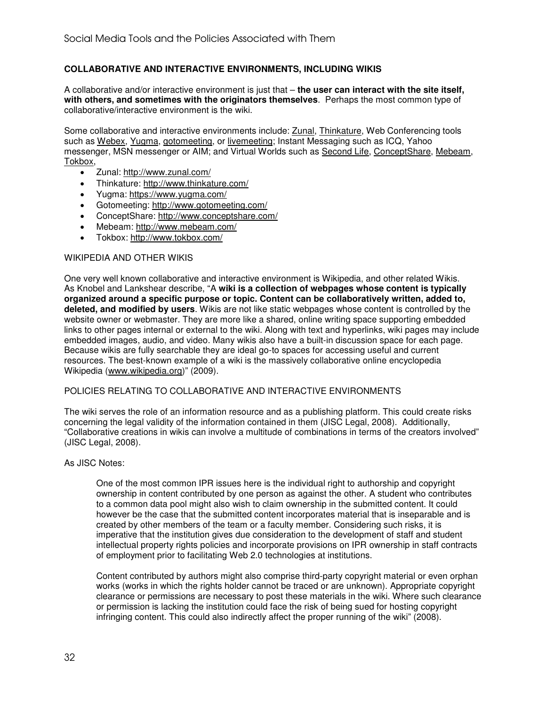# **COLLABORATIVE AND INTERACTIVE ENVIRONMENTS, INCLUDING WIKIS**

A collaborative and/or interactive environment is just that – **the user can interact with the site itself, with others, and sometimes with the originators themselves**. Perhaps the most common type of collaborative/interactive environment is the wiki.

Some collaborative and interactive environments include: Zunal, Thinkature, Web Conferencing tools such as Webex, Yugma, gotomeeting, or livemeeting; Instant Messaging such as ICQ, Yahoo messenger, MSN messenger or AIM; and Virtual Worlds such as Second Life, ConceptShare, Mebeam, Tokbox,

- Zunal: http://www.zunal.com/
- Thinkature: http://www.thinkature.com/
- Yugma: https://www.yugma.com/
- Gotomeeting: http://www.gotomeeting.com/
- ConceptShare: http://www.conceptshare.com/
- Mebeam: http://www.mebeam.com/
- Tokbox: http://www.tokbox.com/

#### WIKIPEDIA AND OTHER WIKIS

One very well known collaborative and interactive environment is Wikipedia, and other related Wikis. As Knobel and Lankshear describe, "A **wiki is a collection of webpages whose content is typically organized around a specific purpose or topic. Content can be collaboratively written, added to, deleted, and modified by users**. Wikis are not like static webpages whose content is controlled by the website owner or webmaster. They are more like a shared, online writing space supporting embedded links to other pages internal or external to the wiki. Along with text and hyperlinks, wiki pages may include embedded images, audio, and video. Many wikis also have a built-in discussion space for each page. Because wikis are fully searchable they are ideal go-to spaces for accessing useful and current resources. The best-known example of a wiki is the massively collaborative online encyclopedia Wikipedia (www.wikipedia.org)" (2009).

#### POLICIES RELATING TO COLLABORATIVE AND INTERACTIVE ENVIRONMENTS

The wiki serves the role of an information resource and as a publishing platform. This could create risks concerning the legal validity of the information contained in them (JISC Legal, 2008). Additionally, "Collaborative creations in wikis can involve a multitude of combinations in terms of the creators involved" (JISC Legal, 2008).

#### As JISC Notes:

One of the most common IPR issues here is the individual right to authorship and copyright ownership in content contributed by one person as against the other. A student who contributes to a common data pool might also wish to claim ownership in the submitted content. It could however be the case that the submitted content incorporates material that is inseparable and is created by other members of the team or a faculty member. Considering such risks, it is imperative that the institution gives due consideration to the development of staff and student intellectual property rights policies and incorporate provisions on IPR ownership in staff contracts of employment prior to facilitating Web 2.0 technologies at institutions.

Content contributed by authors might also comprise third-party copyright material or even orphan works (works in which the rights holder cannot be traced or are unknown). Appropriate copyright clearance or permissions are necessary to post these materials in the wiki. Where such clearance or permission is lacking the institution could face the risk of being sued for hosting copyright infringing content. This could also indirectly affect the proper running of the wiki" (2008).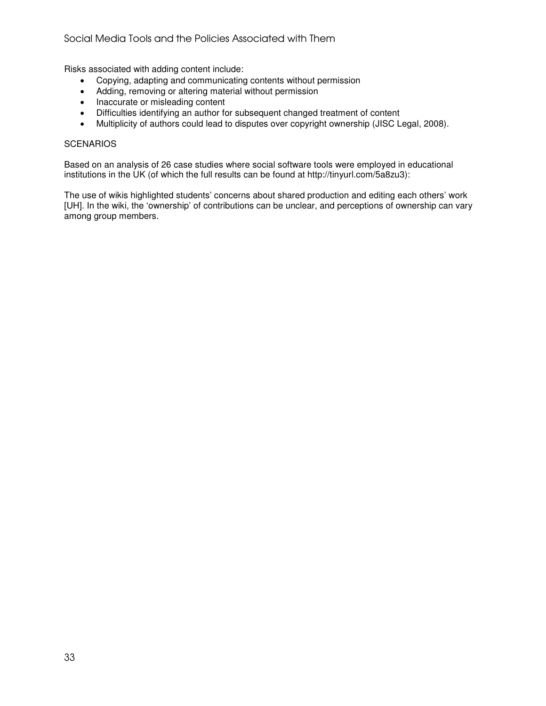# Social Media Tools and the Policies Associated with Them

Risks associated with adding content include:

- Copying, adapting and communicating contents without permission
- Adding, removing or altering material without permission
- Inaccurate or misleading content
- Difficulties identifying an author for subsequent changed treatment of content
- Multiplicity of authors could lead to disputes over copyright ownership (JISC Legal, 2008).

#### **SCENARIOS**

Based on an analysis of 26 case studies where social software tools were employed in educational institutions in the UK (of which the full results can be found at http://tinyurl.com/5a8zu3):

The use of wikis highlighted students' concerns about shared production and editing each others' work [UH]. In the wiki, the 'ownership' of contributions can be unclear, and perceptions of ownership can vary among group members.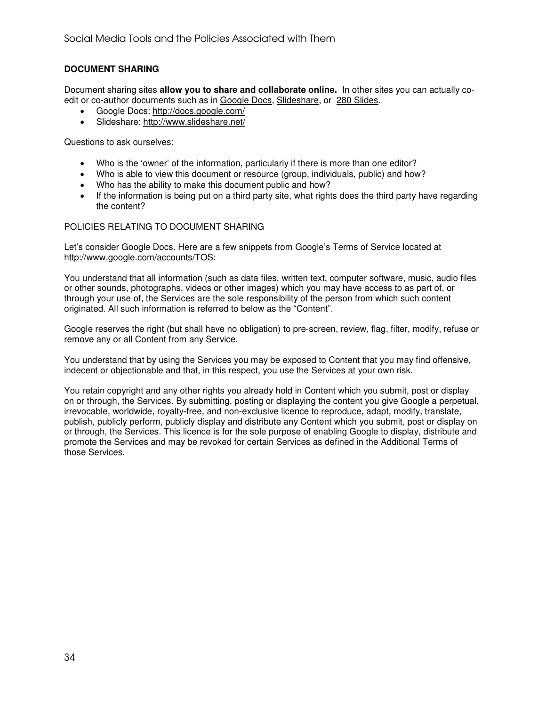# **DOCUMENT SHARING**

Document sharing sites **allow you to share and collaborate online.** In other sites you can actually coedit or co-author documents such as in Google Docs, Slideshare, or 280 Slides.

- Google Docs: http://docs.google.com/
- Slideshare: http://www.slideshare.net/

Questions to ask ourselves:

- Who is the 'owner' of the information, particularly if there is more than one editor?
- Who is able to view this document or resource (group, individuals, public) and how?
- Who has the ability to make this document public and how?
- If the information is being put on a third party site, what rights does the third party have regarding the content?

#### POLICIES RELATING TO DOCUMENT SHARING

Let's consider Google Docs. Here are a few snippets from Google's Terms of Service located at http://www.google.com/accounts/TOS:

You understand that all information (such as data files, written text, computer software, music, audio files or other sounds, photographs, videos or other images) which you may have access to as part of, or through your use of, the Services are the sole responsibility of the person from which such content originated. All such information is referred to below as the "Content".

Google reserves the right (but shall have no obligation) to pre-screen, review, flag, filter, modify, refuse or remove any or all Content from any Service.

You understand that by using the Services you may be exposed to Content that you may find offensive, indecent or objectionable and that, in this respect, you use the Services at your own risk.

You retain copyright and any other rights you already hold in Content which you submit, post or display on or through, the Services. By submitting, posting or displaying the content you give Google a perpetual, irrevocable, worldwide, royalty-free, and non-exclusive licence to reproduce, adapt, modify, translate, publish, publicly perform, publicly display and distribute any Content which you submit, post or display on or through, the Services. This licence is for the sole purpose of enabling Google to display, distribute and promote the Services and may be revoked for certain Services as defined in the Additional Terms of those Services.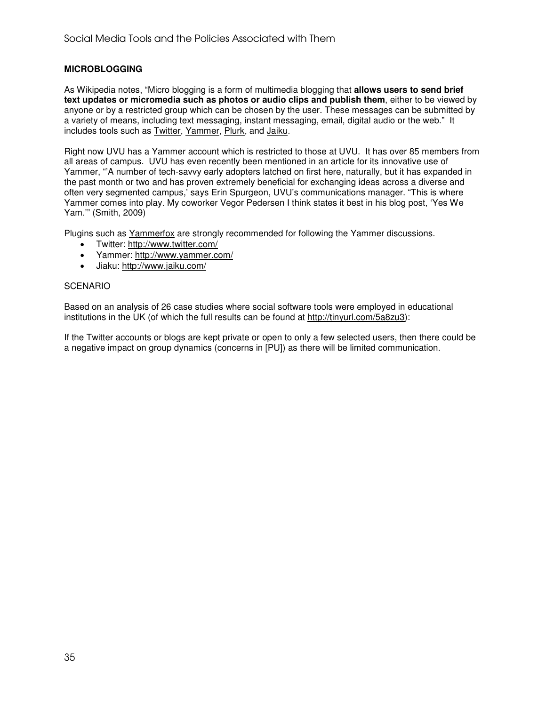# **MICROBLOGGING**

As Wikipedia notes, "Micro blogging is a form of multimedia blogging that **allows users to send brief text updates or micromedia such as photos or audio clips and publish them**, either to be viewed by anyone or by a restricted group which can be chosen by the user. These messages can be submitted by a variety of means, including text messaging, instant messaging, email, digital audio or the web." It includes tools such as Twitter, Yammer, Plurk, and Jaiku.

Right now UVU has a Yammer account which is restricted to those at UVU. It has over 85 members from all areas of campus. UVU has even recently been mentioned in an article for its innovative use of Yammer, "'A number of tech-savvy early adopters latched on first here, naturally, but it has expanded in the past month or two and has proven extremely beneficial for exchanging ideas across a diverse and often very segmented campus,' says Erin Spurgeon, UVU's communications manager. "This is where Yammer comes into play. My coworker Vegor Pedersen I think states it best in his blog post, 'Yes We Yam.'" (Smith, 2009)

Plugins such as **Yammerfox** are strongly recommended for following the Yammer discussions.

- Twitter: http://www.twitter.com/
- Yammer: http://www.yammer.com/
- Jiaku: http://www.jaiku.com/

#### **SCENARIO**

Based on an analysis of 26 case studies where social software tools were employed in educational institutions in the UK (of which the full results can be found at http://tinyurl.com/5a8zu3):

If the Twitter accounts or blogs are kept private or open to only a few selected users, then there could be a negative impact on group dynamics (concerns in [PU]) as there will be limited communication.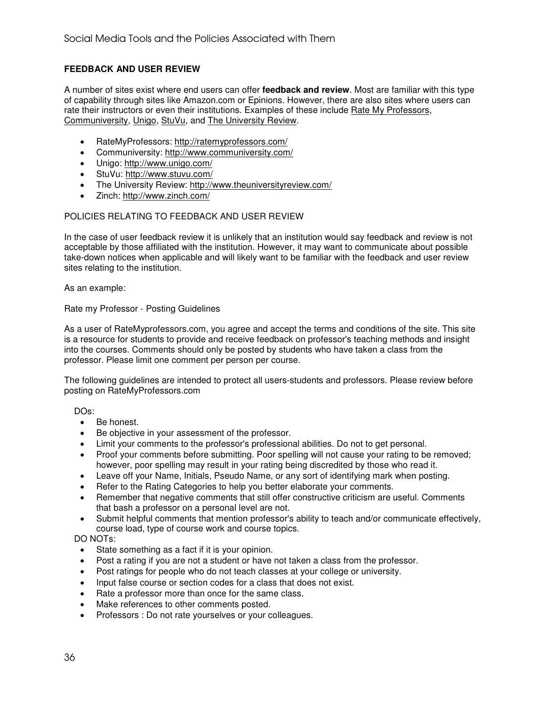# **FEEDBACK AND USER REVIEW**

A number of sites exist where end users can offer **feedback and review**. Most are familiar with this type of capability through sites like Amazon.com or Epinions. However, there are also sites where users can rate their instructors or even their institutions. Examples of these include Rate My Professors, Communiversity, Unigo, StuVu, and The University Review.

- RateMyProfessors: http://ratemyprofessors.com/
- Communiversity: http://www.communiversity.com/
- Unigo: http://www.unigo.com/
- StuVu: http://www.stuvu.com/
- The University Review: http://www.theuniversityreview.com/
- Zinch: http://www.zinch.com/

#### POLICIES RELATING TO FEEDBACK AND USER REVIEW

In the case of user feedback review it is unlikely that an institution would say feedback and review is not acceptable by those affiliated with the institution. However, it may want to communicate about possible take-down notices when applicable and will likely want to be familiar with the feedback and user review sites relating to the institution.

As an example:

Rate my Professor - Posting Guidelines

As a user of RateMyprofessors.com, you agree and accept the terms and conditions of the site. This site is a resource for students to provide and receive feedback on professor's teaching methods and insight into the courses. Comments should only be posted by students who have taken a class from the professor. Please limit one comment per person per course.

The following guidelines are intended to protect all users-students and professors. Please review before posting on RateMyProfessors.com

DOs:

- Be honest.
- Be objective in your assessment of the professor.
- Limit your comments to the professor's professional abilities. Do not to get personal.
- Proof your comments before submitting. Poor spelling will not cause your rating to be removed; however, poor spelling may result in your rating being discredited by those who read it.
- Leave off your Name, Initials, Pseudo Name, or any sort of identifying mark when posting.
- Refer to the Rating Categories to help you better elaborate your comments.
- Remember that negative comments that still offer constructive criticism are useful. Comments that bash a professor on a personal level are not.
- Submit helpful comments that mention professor's ability to teach and/or communicate effectively, course load, type of course work and course topics.

DO NOTs:

- State something as a fact if it is your opinion.
- Post a rating if you are not a student or have not taken a class from the professor.
- Post ratings for people who do not teach classes at your college or university.
- Input false course or section codes for a class that does not exist.
- Rate a professor more than once for the same class.
- Make references to other comments posted.
- Professors : Do not rate yourselves or your colleagues.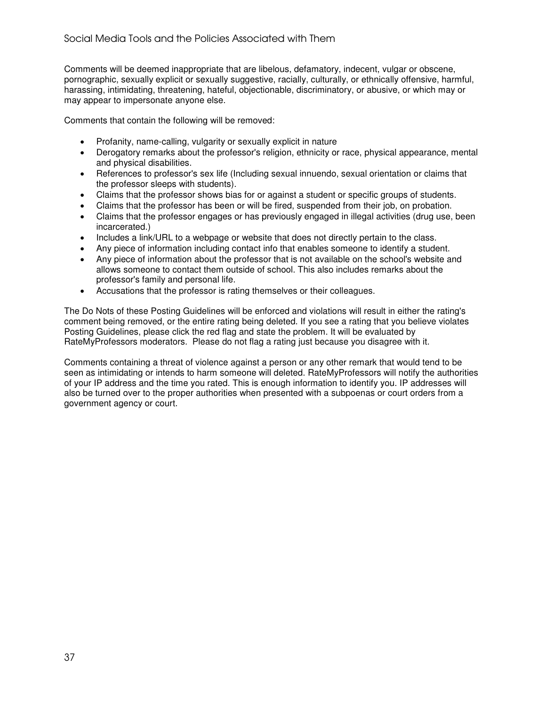Comments will be deemed inappropriate that are libelous, defamatory, indecent, vulgar or obscene, pornographic, sexually explicit or sexually suggestive, racially, culturally, or ethnically offensive, harmful, harassing, intimidating, threatening, hateful, objectionable, discriminatory, or abusive, or which may or may appear to impersonate anyone else.

Comments that contain the following will be removed:

- Profanity, name-calling, vulgarity or sexually explicit in nature
- Derogatory remarks about the professor's religion, ethnicity or race, physical appearance, mental and physical disabilities.
- References to professor's sex life (Including sexual innuendo, sexual orientation or claims that the professor sleeps with students).
- Claims that the professor shows bias for or against a student or specific groups of students.
- Claims that the professor has been or will be fired, suspended from their job, on probation.
- Claims that the professor engages or has previously engaged in illegal activities (drug use, been incarcerated.)
- Includes a link/URL to a webpage or website that does not directly pertain to the class.
- Any piece of information including contact info that enables someone to identify a student.
- Any piece of information about the professor that is not available on the school's website and allows someone to contact them outside of school. This also includes remarks about the professor's family and personal life.
- Accusations that the professor is rating themselves or their colleagues.

The Do Nots of these Posting Guidelines will be enforced and violations will result in either the rating's comment being removed, or the entire rating being deleted. If you see a rating that you believe violates Posting Guidelines, please click the red flag and state the problem. It will be evaluated by RateMyProfessors moderators. Please do not flag a rating just because you disagree with it.

Comments containing a threat of violence against a person or any other remark that would tend to be seen as intimidating or intends to harm someone will deleted. RateMyProfessors will notify the authorities of your IP address and the time you rated. This is enough information to identify you. IP addresses will also be turned over to the proper authorities when presented with a subpoenas or court orders from a government agency or court.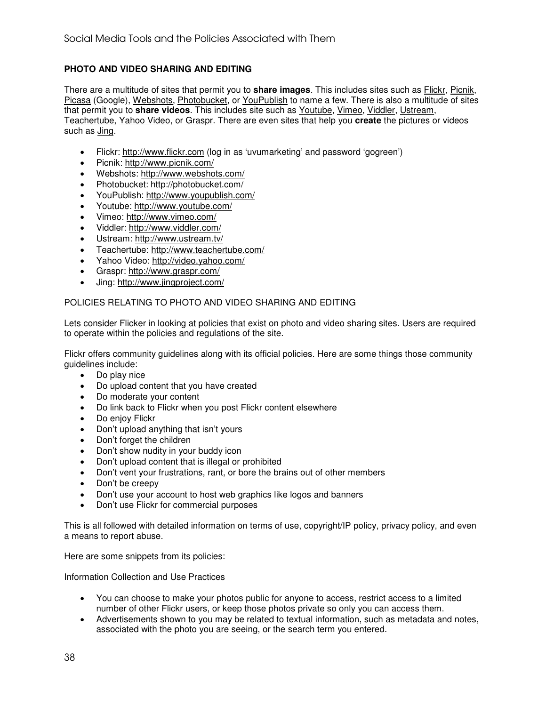# **PHOTO AND VIDEO SHARING AND EDITING**

There are a multitude of sites that permit you to **share images**. This includes sites such as Flickr, Picnik, Picasa (Google), Webshots, Photobucket, or YouPublish to name a few. There is also a multitude of sites that permit you to **share videos**. This includes site such as Youtube, Vimeo, Viddler, Ustream, Teachertube, Yahoo Video, or Graspr. There are even sites that help you **create** the pictures or videos such as *Jing*.

- Flickr: http://www.flickr.com (log in as 'uvumarketing' and password 'gogreen')
- Picnik: http://www.picnik.com/
- Webshots: http://www.webshots.com/
- Photobucket: http://photobucket.com/
- YouPublish: http://www.youpublish.com/
- Youtube: http://www.youtube.com/
- Vimeo: http://www.vimeo.com/
- Viddler: http://www.viddler.com/
- Ustream: http://www.ustream.tv/
- Teachertube: http://www.teachertube.com/
- Yahoo Video: http://video.yahoo.com/
- Graspr: http://www.graspr.com/
- Jing: http://www.jingproject.com/

#### POLICIES RELATING TO PHOTO AND VIDEO SHARING AND EDITING

Lets consider Flicker in looking at policies that exist on photo and video sharing sites. Users are required to operate within the policies and regulations of the site.

Flickr offers community guidelines along with its official policies. Here are some things those community guidelines include:

- Do play nice
- Do upload content that you have created
- Do moderate your content
- Do link back to Flickr when you post Flickr content elsewhere
- Do enjoy Flickr
- Don't upload anything that isn't yours
- Don't forget the children
- Don't show nudity in your buddy icon
- Don't upload content that is illegal or prohibited
- Don't vent your frustrations, rant, or bore the brains out of other members
- Don't be creepy
- Don't use your account to host web graphics like logos and banners
- Don't use Flickr for commercial purposes

This is all followed with detailed information on terms of use, copyright/IP policy, privacy policy, and even a means to report abuse.

Here are some snippets from its policies:

Information Collection and Use Practices

- You can choose to make your photos public for anyone to access, restrict access to a limited number of other Flickr users, or keep those photos private so only you can access them.
- Advertisements shown to you may be related to textual information, such as metadata and notes, associated with the photo you are seeing, or the search term you entered.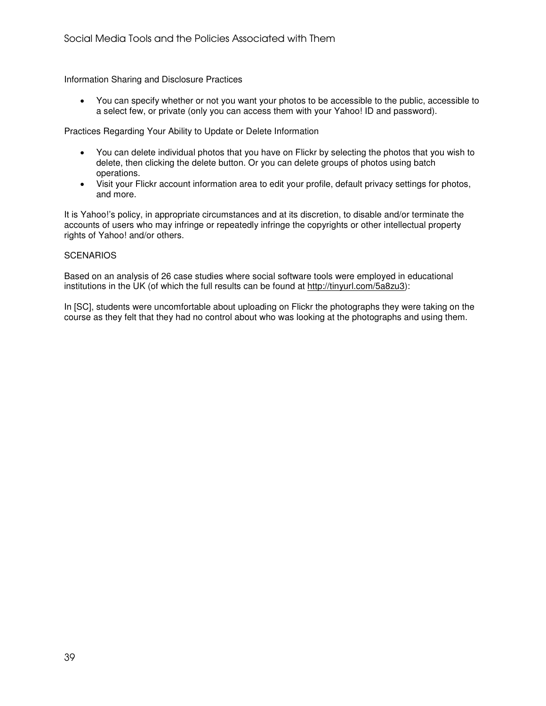Information Sharing and Disclosure Practices

• You can specify whether or not you want your photos to be accessible to the public, accessible to a select few, or private (only you can access them with your Yahoo! ID and password).

Practices Regarding Your Ability to Update or Delete Information

- You can delete individual photos that you have on Flickr by selecting the photos that you wish to delete, then clicking the delete button. Or you can delete groups of photos using batch operations.
- Visit your Flickr account information area to edit your profile, default privacy settings for photos, and more.

It is Yahoo!'s policy, in appropriate circumstances and at its discretion, to disable and/or terminate the accounts of users who may infringe or repeatedly infringe the copyrights or other intellectual property rights of Yahoo! and/or others.

#### **SCENARIOS**

Based on an analysis of 26 case studies where social software tools were employed in educational institutions in the UK (of which the full results can be found at http://tinyurl.com/5a8zu3):

In [SC], students were uncomfortable about uploading on Flickr the photographs they were taking on the course as they felt that they had no control about who was looking at the photographs and using them.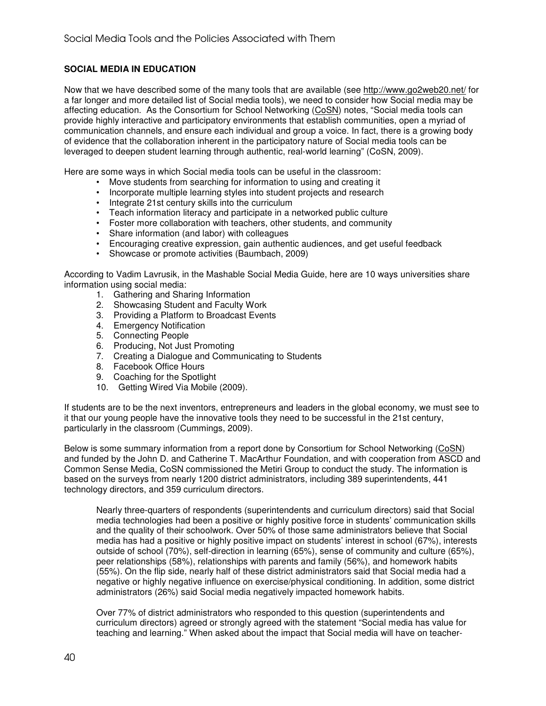# **SOCIAL MEDIA IN EDUCATION**

Now that we have described some of the many tools that are available (see http://www.go2web20.net/ for a far longer and more detailed list of Social media tools), we need to consider how Social media may be affecting education. As the Consortium for School Networking (CoSN) notes, "Social media tools can provide highly interactive and participatory environments that establish communities, open a myriad of communication channels, and ensure each individual and group a voice. In fact, there is a growing body of evidence that the collaboration inherent in the participatory nature of Social media tools can be leveraged to deepen student learning through authentic, real-world learning" (CoSN, 2009).

Here are some ways in which Social media tools can be useful in the classroom:

- Move students from searching for information to using and creating it
- Incorporate multiple learning styles into student projects and research
- Integrate 21st century skills into the curriculum
- Teach information literacy and participate in a networked public culture
- Foster more collaboration with teachers, other students, and community
- Share information (and labor) with colleagues
- Encouraging creative expression, gain authentic audiences, and get useful feedback
- Showcase or promote activities (Baumbach, 2009)

According to Vadim Lavrusik, in the Mashable Social Media Guide, here are 10 ways universities share information using social media:

- 1. Gathering and Sharing Information
- 2. Showcasing Student and Faculty Work
- 3. Providing a Platform to Broadcast Events
- 4. Emergency Notification
- 5. Connecting People
- 6. Producing, Not Just Promoting
- 7. Creating a Dialogue and Communicating to Students
- 8. Facebook Office Hours
- 9. Coaching for the Spotlight
- 10. Getting Wired Via Mobile (2009).

If students are to be the next inventors, entrepreneurs and leaders in the global economy, we must see to it that our young people have the innovative tools they need to be successful in the 21st century, particularly in the classroom (Cummings, 2009).

Below is some summary information from a report done by Consortium for School Networking (CoSN) and funded by the John D. and Catherine T. MacArthur Foundation, and with cooperation from ASCD and Common Sense Media, CoSN commissioned the Metiri Group to conduct the study. The information is based on the surveys from nearly 1200 district administrators, including 389 superintendents, 441 technology directors, and 359 curriculum directors.

Nearly three-quarters of respondents (superintendents and curriculum directors) said that Social media technologies had been a positive or highly positive force in students' communication skills and the quality of their schoolwork. Over 50% of those same administrators believe that Social media has had a positive or highly positive impact on students' interest in school (67%), interests outside of school (70%), self-direction in learning (65%), sense of community and culture (65%), peer relationships (58%), relationships with parents and family (56%), and homework habits (55%). On the flip side, nearly half of these district administrators said that Social media had a negative or highly negative influence on exercise/physical conditioning. In addition, some district administrators (26%) said Social media negatively impacted homework habits.

Over 77% of district administrators who responded to this question (superintendents and curriculum directors) agreed or strongly agreed with the statement "Social media has value for teaching and learning." When asked about the impact that Social media will have on teacher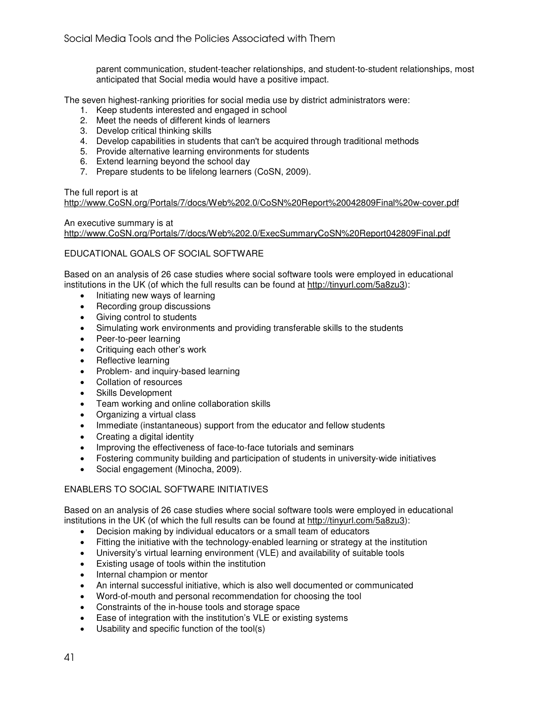parent communication, student-teacher relationships, and student-to-student relationships, most anticipated that Social media would have a positive impact.

The seven highest-ranking priorities for social media use by district administrators were:

- 1. Keep students interested and engaged in school
- 2. Meet the needs of different kinds of learners
- 3. Develop critical thinking skills
- 4. Develop capabilities in students that can't be acquired through traditional methods
- 5. Provide alternative learning environments for students
- 6. Extend learning beyond the school day
- 7. Prepare students to be lifelong learners (CoSN, 2009).

The full report is at

http://www.CoSN.org/Portals/7/docs/Web%202.0/CoSN%20Report%20042809Final%20w-cover.pdf

#### An executive summary is at

http://www.CoSN.org/Portals/7/docs/Web%202.0/ExecSummaryCoSN%20Report042809Final.pdf

#### EDUCATIONAL GOALS OF SOCIAL SOFTWARE

Based on an analysis of 26 case studies where social software tools were employed in educational institutions in the UK (of which the full results can be found at http://tinyurl.com/5a8zu3):

- Initiating new ways of learning
- Recording group discussions
- Giving control to students
- Simulating work environments and providing transferable skills to the students
- Peer-to-peer learning
- Critiquing each other's work
- Reflective learning
- Problem- and inquiry-based learning
- Collation of resources
- Skills Development
- Team working and online collaboration skills
- Organizing a virtual class
- Immediate (instantaneous) support from the educator and fellow students
- Creating a digital identity
- Improving the effectiveness of face-to-face tutorials and seminars
- Fostering community building and participation of students in university-wide initiatives
- Social engagement (Minocha, 2009).

# ENABLERS TO SOCIAL SOFTWARE INITIATIVES

Based on an analysis of 26 case studies where social software tools were employed in educational institutions in the UK (of which the full results can be found at http://tinyurl.com/5a8zu3):

- Decision making by individual educators or a small team of educators
- Fitting the initiative with the technology-enabled learning or strategy at the institution
- University's virtual learning environment (VLE) and availability of suitable tools
- Existing usage of tools within the institution
- Internal champion or mentor
- An internal successful initiative, which is also well documented or communicated
- Word-of-mouth and personal recommendation for choosing the tool
- Constraints of the in-house tools and storage space
- Ease of integration with the institution's VLE or existing systems
- Usability and specific function of the tool(s)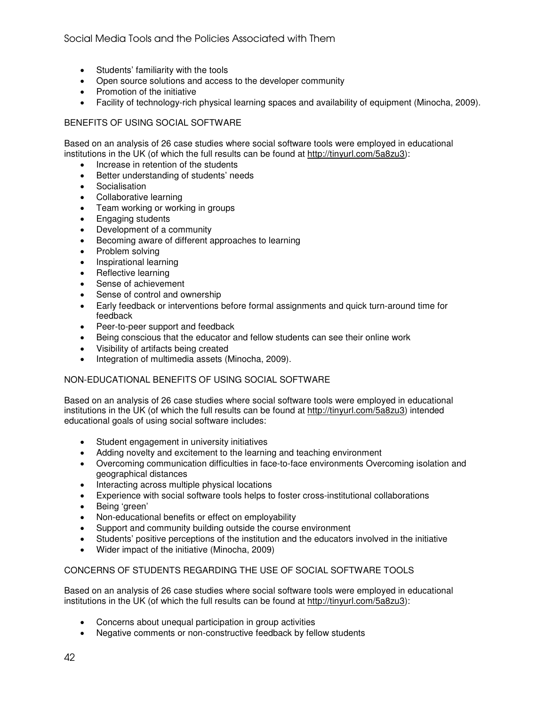- Students' familiarity with the tools
- Open source solutions and access to the developer community
- Promotion of the initiative
- Facility of technology-rich physical learning spaces and availability of equipment (Minocha, 2009).

# BENEFITS OF USING SOCIAL SOFTWARE

Based on an analysis of 26 case studies where social software tools were employed in educational institutions in the UK (of which the full results can be found at http://tinyurl.com/5a8zu3):

- Increase in retention of the students
- Better understanding of students' needs
- Socialisation
- Collaborative learning
- Team working or working in groups
- Engaging students
- Development of a community
- Becoming aware of different approaches to learning
- Problem solving
- Inspirational learning
- Reflective learning
- Sense of achievement
- Sense of control and ownership
- Early feedback or interventions before formal assignments and quick turn-around time for feedback
- Peer-to-peer support and feedback
- Being conscious that the educator and fellow students can see their online work
- Visibility of artifacts being created
- Integration of multimedia assets (Minocha, 2009).

# NON-EDUCATIONAL BENEFITS OF USING SOCIAL SOFTWARE

Based on an analysis of 26 case studies where social software tools were employed in educational institutions in the UK (of which the full results can be found at http://tinyurl.com/5a8zu3) intended educational goals of using social software includes:

- Student engagement in university initiatives
- Adding novelty and excitement to the learning and teaching environment
- Overcoming communication difficulties in face-to-face environments Overcoming isolation and geographical distances
- Interacting across multiple physical locations
- Experience with social software tools helps to foster cross-institutional collaborations
- Being 'green'
- Non-educational benefits or effect on employability
- Support and community building outside the course environment
- Students' positive perceptions of the institution and the educators involved in the initiative
- Wider impact of the initiative (Minocha, 2009)

# CONCERNS OF STUDENTS REGARDING THE USE OF SOCIAL SOFTWARE TOOLS

Based on an analysis of 26 case studies where social software tools were employed in educational institutions in the UK (of which the full results can be found at http://tinyurl.com/5a8zu3):

- Concerns about unequal participation in group activities
- Negative comments or non-constructive feedback by fellow students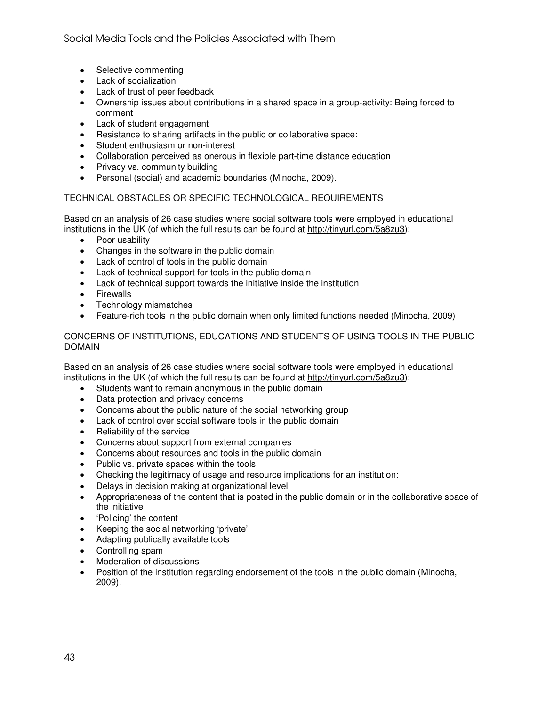- Selective commenting
- Lack of socialization
- Lack of trust of peer feedback
- Ownership issues about contributions in a shared space in a group-activity: Being forced to comment
- Lack of student engagement
- Resistance to sharing artifacts in the public or collaborative space:
- Student enthusiasm or non-interest
- Collaboration perceived as onerous in flexible part-time distance education
- Privacy vs. community building
- Personal (social) and academic boundaries (Minocha, 2009).

# TECHNICAL OBSTACLES OR SPECIFIC TECHNOLOGICAL REQUIREMENTS

Based on an analysis of 26 case studies where social software tools were employed in educational institutions in the UK (of which the full results can be found at http://tinyurl.com/5a8zu3):

- Poor usability
- Changes in the software in the public domain
- Lack of control of tools in the public domain
- Lack of technical support for tools in the public domain
- Lack of technical support towards the initiative inside the institution
- Firewalls
- Technology mismatches
- Feature-rich tools in the public domain when only limited functions needed (Minocha, 2009)

#### CONCERNS OF INSTITUTIONS, EDUCATIONS AND STUDENTS OF USING TOOLS IN THE PUBLIC DOMAIN

Based on an analysis of 26 case studies where social software tools were employed in educational institutions in the UK (of which the full results can be found at http://tinyurl.com/5a8zu3):

- Students want to remain anonymous in the public domain
- Data protection and privacy concerns
- Concerns about the public nature of the social networking group
- Lack of control over social software tools in the public domain
- Reliability of the service
- Concerns about support from external companies
- Concerns about resources and tools in the public domain
- Public vs. private spaces within the tools
- Checking the legitimacy of usage and resource implications for an institution:
- Delays in decision making at organizational level
- Appropriateness of the content that is posted in the public domain or in the collaborative space of the initiative
- 'Policing' the content
- Keeping the social networking 'private'
- Adapting publically available tools
- Controlling spam
- Moderation of discussions
- Position of the institution regarding endorsement of the tools in the public domain (Minocha, 2009).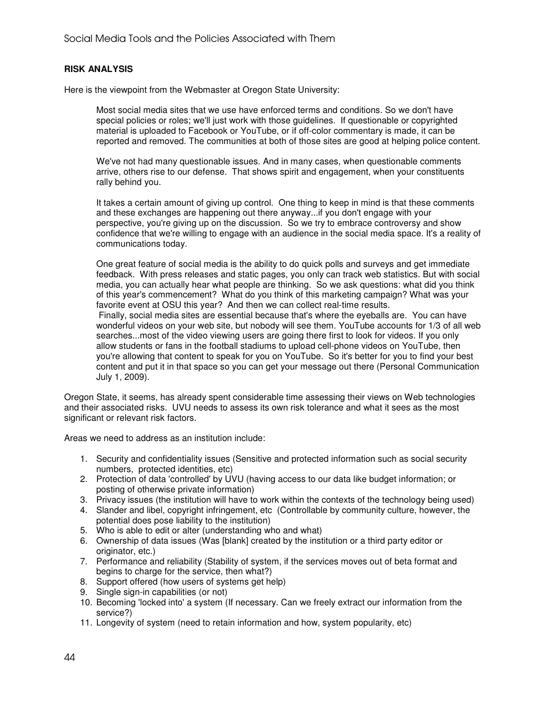#### **RISK ANALYSIS**

Here is the viewpoint from the Webmaster at Oregon State University:

Most social media sites that we use have enforced terms and conditions. So we don't have special policies or roles; we'll just work with those guidelines. If questionable or copyrighted material is uploaded to Facebook or YouTube, or if off-color commentary is made, it can be reported and removed. The communities at both of those sites are good at helping police content.

We've not had many questionable issues. And in many cases, when questionable comments arrive, others rise to our defense. That shows spirit and engagement, when your constituents rally behind you.

It takes a certain amount of giving up control. One thing to keep in mind is that these comments and these exchanges are happening out there anyway...if you don't engage with your perspective, you're giving up on the discussion. So we try to embrace controversy and show confidence that we're willing to engage with an audience in the social media space. It's a reality of communications today.

One great feature of social media is the ability to do quick polls and surveys and get immediate feedback. With press releases and static pages, you only can track web statistics. But with social media, you can actually hear what people are thinking. So we ask questions: what did you think of this year's commencement? What do you think of this marketing campaign? What was your favorite event at OSU this year? And then we can collect real-time results.

 Finally, social media sites are essential because that's where the eyeballs are. You can have wonderful videos on your web site, but nobody will see them. YouTube accounts for 1/3 of all web searches...most of the video viewing users are going there first to look for videos. If you only allow students or fans in the football stadiums to upload cell-phone videos on YouTube, then you're allowing that content to speak for you on YouTube. So it's better for you to find your best content and put it in that space so you can get your message out there (Personal Communication July 1, 2009).

Oregon State, it seems, has already spent considerable time assessing their views on Web technologies and their associated risks. UVU needs to assess its own risk tolerance and what it sees as the most significant or relevant risk factors.

Areas we need to address as an institution include:

- 1. Security and confidentiality issues (Sensitive and protected information such as social security numbers, protected identities, etc)
- 2. Protection of data 'controlled' by UVU (having access to our data like budget information; or posting of otherwise private information)
- 3. Privacy issues (the institution will have to work within the contexts of the technology being used)
- 4. Slander and libel, copyright infringement, etc (Controllable by community culture, however, the potential does pose liability to the institution)
- 5. Who is able to edit or alter (understanding who and what)
- 6. Ownership of data issues (Was [blank] created by the institution or a third party editor or originator, etc.)
- 7. Performance and reliability (Stability of system, if the services moves out of beta format and begins to charge for the service, then what?)
- 8. Support offered (how users of systems get help)
- 9. Single sign-in capabilities (or not)
- 10. Becoming 'locked into' a system (If necessary. Can we freely extract our information from the service?)
- 11. Longevity of system (need to retain information and how, system popularity, etc)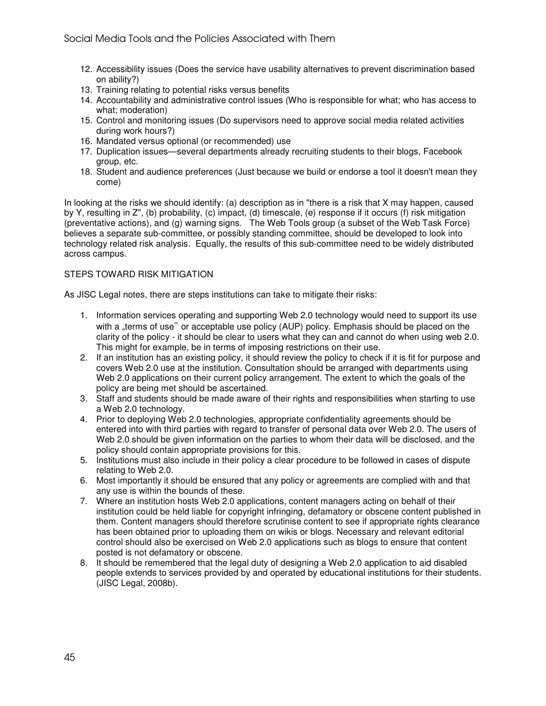- 12. Accessibility issues (Does the service have usability alternatives to prevent discrimination based on ability?)
- 13. Training relating to potential risks versus benefits
- 14. Accountability and administrative control issues (Who is responsible for what; who has access to what; moderation)
- 15. Control and monitoring issues (Do supervisors need to approve social media related activities during work hours?)
- 16. Mandated versus optional (or recommended) use
- 17. Duplication issues—several departments already recruiting students to their blogs, Facebook group, etc.
- 18. Student and audience preferences (Just because we build or endorse a tool it doesn't mean they come)

In looking at the risks we should identify: (a) description as in "there is a risk that X may happen, caused by Y, resulting in Z", (b) probability, (c) impact, (d) timescale, (e) response if it occurs (f) risk mitigation (preventative actions), and (g) warning signs. The Web Tools group (a subset of the Web Task Force) believes a separate sub-committee, or possibly standing committee, should be developed to look into technology related risk analysis. Equally, the results of this sub-committee need to be widely distributed across campus.

# STEPS TOWARD RISK MITIGATION

As JISC Legal notes, there are steps institutions can take to mitigate their risks:

- 1. Information services operating and supporting Web 2.0 technology would need to support its use with a "terms of use" or acceptable use policy (AUP) policy. Emphasis should be placed on the clarity of the policy - it should be clear to users what they can and cannot do when using web 2.0. This might for example, be in terms of imposing restrictions on their use.
- 2. If an institution has an existing policy, it should review the policy to check if it is fit for purpose and covers Web 2.0 use at the institution. Consultation should be arranged with departments using Web 2.0 applications on their current policy arrangement. The extent to which the goals of the policy are being met should be ascertained.
- 3. Staff and students should be made aware of their rights and responsibilities when starting to use a Web 2.0 technology.
- 4. Prior to deploying Web 2.0 technologies, appropriate confidentiality agreements should be entered into with third parties with regard to transfer of personal data over Web 2.0. The users of Web 2.0 should be given information on the parties to whom their data will be disclosed, and the policy should contain appropriate provisions for this.
- 5. Institutions must also include in their policy a clear procedure to be followed in cases of dispute relating to Web 2.0.
- 6. Most importantly it should be ensured that any policy or agreements are complied with and that any use is within the bounds of these.
- 7. Where an institution hosts Web 2.0 applications, content managers acting on behalf of their institution could be held liable for copyright infringing, defamatory or obscene content published in them. Content managers should therefore scrutinise content to see if appropriate rights clearance has been obtained prior to uploading them on wikis or blogs. Necessary and relevant editorial control should also be exercised on Web 2.0 applications such as blogs to ensure that content posted is not defamatory or obscene.
- 8. It should be remembered that the legal duty of designing a Web 2.0 application to aid disabled people extends to services provided by and operated by educational institutions for their students. (JISC Legal, 2008b).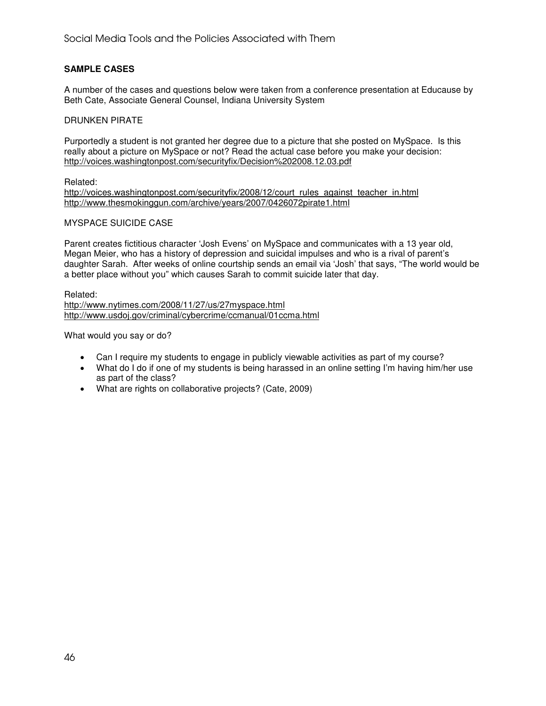# **SAMPLE CASES**

A number of the cases and questions below were taken from a conference presentation at Educause by Beth Cate, Associate General Counsel, Indiana University System

#### DRUNKEN PIRATE

Purportedly a student is not granted her degree due to a picture that she posted on MySpace. Is this really about a picture on MySpace or not? Read the actual case before you make your decision: http://voices.washingtonpost.com/securityfix/Decision%202008.12.03.pdf

#### Related:

http://voices.washingtonpost.com/securityfix/2008/12/court\_rules\_against\_teacher\_in.html http://www.thesmokinggun.com/archive/years/2007/0426072pirate1.html

#### MYSPACE SUICIDE CASE

Parent creates fictitious character 'Josh Evens' on MySpace and communicates with a 13 year old, Megan Meier, who has a history of depression and suicidal impulses and who is a rival of parent's daughter Sarah. After weeks of online courtship sends an email via 'Josh' that says, "The world would be a better place without you" which causes Sarah to commit suicide later that day.

Related: http://www.nytimes.com/2008/11/27/us/27myspace.html http://www.usdoj.gov/criminal/cybercrime/ccmanual/01ccma.html

What would you say or do?

- Can I require my students to engage in publicly viewable activities as part of my course?
- What do I do if one of my students is being harassed in an online setting I'm having him/her use as part of the class?
- What are rights on collaborative projects? (Cate, 2009)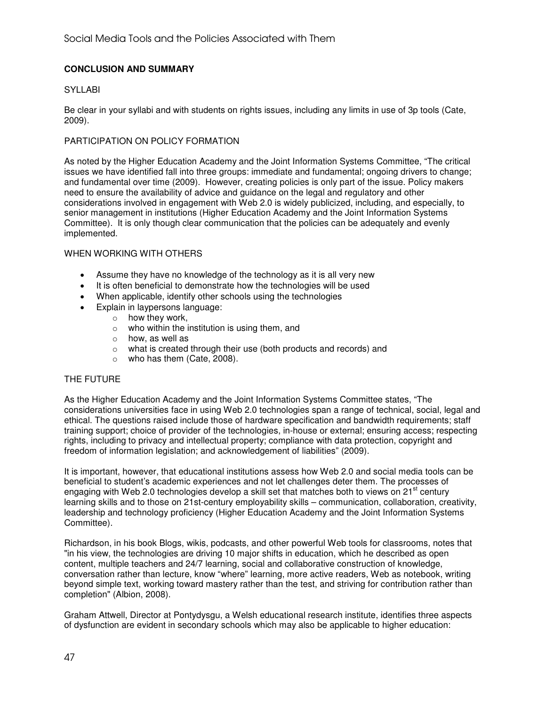# **CONCLUSION AND SUMMARY**

#### SYLLABI

Be clear in your syllabi and with students on rights issues, including any limits in use of 3p tools (Cate, 2009).

#### PARTICIPATION ON POLICY FORMATION

As noted by the Higher Education Academy and the Joint Information Systems Committee, "The critical issues we have identified fall into three groups: immediate and fundamental; ongoing drivers to change; and fundamental over time (2009). However, creating policies is only part of the issue. Policy makers need to ensure the availability of advice and guidance on the legal and regulatory and other considerations involved in engagement with Web 2.0 is widely publicized, including, and especially, to senior management in institutions (Higher Education Academy and the Joint Information Systems Committee). It is only though clear communication that the policies can be adequately and evenly implemented.

#### WHEN WORKING WITH OTHERS

- Assume they have no knowledge of the technology as it is all very new
- It is often beneficial to demonstrate how the technologies will be used
- When applicable, identify other schools using the technologies
- Explain in laypersons language:
	- $\circ$  how they work,
	- $\circ$  who within the institution is using them, and
	- o how, as well as
	- o what is created through their use (both products and records) and
	- o who has them (Cate, 2008).

# THE FUTURE

As the Higher Education Academy and the Joint Information Systems Committee states, "The considerations universities face in using Web 2.0 technologies span a range of technical, social, legal and ethical. The questions raised include those of hardware specification and bandwidth requirements; staff training support; choice of provider of the technologies, in-house or external; ensuring access; respecting rights, including to privacy and intellectual property; compliance with data protection, copyright and freedom of information legislation; and acknowledgement of liabilities" (2009).

It is important, however, that educational institutions assess how Web 2.0 and social media tools can be beneficial to student's academic experiences and not let challenges deter them. The processes of engaging with Web 2.0 technologies develop a skill set that matches both to views on  $21<sup>st</sup>$  century learning skills and to those on 21st-century employability skills – communication, collaboration, creativity, leadership and technology proficiency (Higher Education Academy and the Joint Information Systems Committee).

Richardson, in his book Blogs, wikis, podcasts, and other powerful Web tools for classrooms, notes that "in his view, the technologies are driving 10 major shifts in education, which he described as open content, multiple teachers and 24/7 learning, social and collaborative construction of knowledge, conversation rather than lecture, know "where" learning, more active readers, Web as notebook, writing beyond simple text, working toward mastery rather than the test, and striving for contribution rather than completion" (Albion, 2008).

Graham Attwell, Director at Pontydysgu, a Welsh educational research institute, identifies three aspects of dysfunction are evident in secondary schools which may also be applicable to higher education: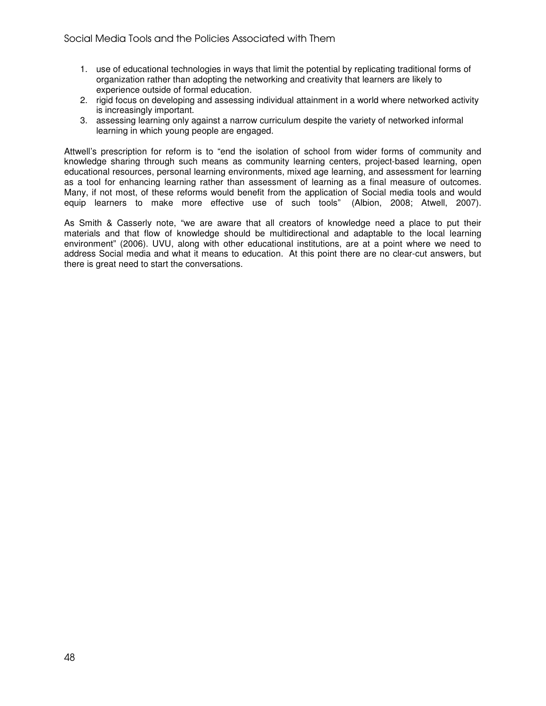- 1. use of educational technologies in ways that limit the potential by replicating traditional forms of organization rather than adopting the networking and creativity that learners are likely to experience outside of formal education.
- 2. rigid focus on developing and assessing individual attainment in a world where networked activity is increasingly important.
- 3. assessing learning only against a narrow curriculum despite the variety of networked informal learning in which young people are engaged.

Attwell's prescription for reform is to "end the isolation of school from wider forms of community and knowledge sharing through such means as community learning centers, project-based learning, open educational resources, personal learning environments, mixed age learning, and assessment for learning as a tool for enhancing learning rather than assessment of learning as a final measure of outcomes. Many, if not most, of these reforms would benefit from the application of Social media tools and would equip learners to make more effective use of such tools" (Albion, 2008; Atwell, 2007).

As Smith & Casserly note, "we are aware that all creators of knowledge need a place to put their materials and that flow of knowledge should be multidirectional and adaptable to the local learning environment" (2006). UVU, along with other educational institutions, are at a point where we need to address Social media and what it means to education. At this point there are no clear-cut answers, but there is great need to start the conversations.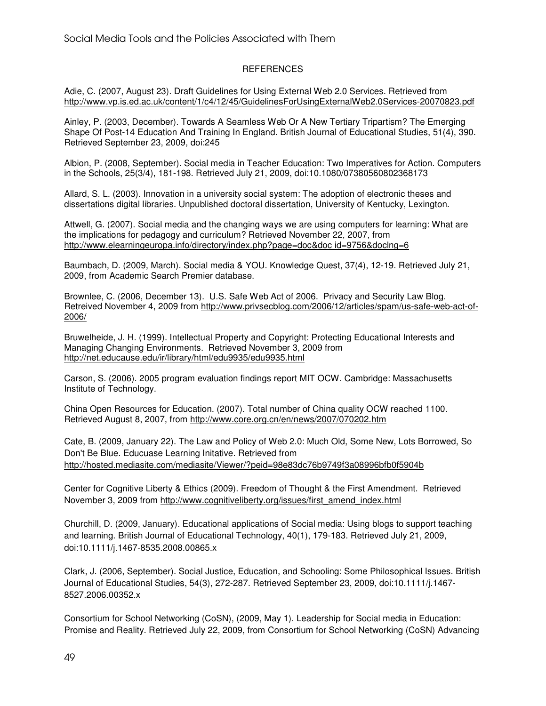# REFERENCES

Adie, C. (2007, August 23). Draft Guidelines for Using External Web 2.0 Services. Retrieved from http://www.vp.is.ed.ac.uk/content/1/c4/12/45/GuidelinesForUsingExternalWeb2.0Services-20070823.pdf

Ainley, P. (2003, December). Towards A Seamless Web Or A New Tertiary Tripartism? The Emerging Shape Of Post-14 Education And Training In England. British Journal of Educational Studies, 51(4), 390. Retrieved September 23, 2009, doi:245

Albion, P. (2008, September). Social media in Teacher Education: Two Imperatives for Action. Computers in the Schools, 25(3/4), 181-198. Retrieved July 21, 2009, doi:10.1080/07380560802368173

Allard, S. L. (2003). Innovation in a university social system: The adoption of electronic theses and dissertations digital libraries. Unpublished doctoral dissertation, University of Kentucky, Lexington.

Attwell, G. (2007). Social media and the changing ways we are using computers for learning: What are the implications for pedagogy and curriculum? Retrieved November 22, 2007, from http://www.elearningeuropa.info/directory/index.php?page=doc&doc id=9756&doclng=6

Baumbach, D. (2009, March). Social media & YOU. Knowledge Quest, 37(4), 12-19. Retrieved July 21, 2009, from Academic Search Premier database.

Brownlee, C. (2006, December 13). U.S. Safe Web Act of 2006. Privacy and Security Law Blog. Retreived November 4, 2009 from http://www.privsecblog.com/2006/12/articles/spam/us-safe-web-act-of-2006/

Bruwelheide, J. H. (1999). Intellectual Property and Copyright: Protecting Educational Interests and Managing Changing Environments. Retrieved November 3, 2009 from http://net.educause.edu/ir/library/html/edu9935/edu9935.html

Carson, S. (2006). 2005 program evaluation findings report MIT OCW. Cambridge: Massachusetts Institute of Technology.

China Open Resources for Education. (2007). Total number of China quality OCW reached 1100. Retrieved August 8, 2007, from http://www.core.org.cn/en/news/2007/070202.htm

Cate, B. (2009, January 22). The Law and Policy of Web 2.0: Much Old, Some New, Lots Borrowed, So Don't Be Blue. Educuase Learning Initative. Retrieved from http://hosted.mediasite.com/mediasite/Viewer/?peid=98e83dc76b9749f3a08996bfb0f5904b

Center for Cognitive Liberty & Ethics (2009). Freedom of Thought & the First Amendment. Retrieved November 3, 2009 from http://www.cognitiveliberty.org/issues/first\_amend\_index.html

Churchill, D. (2009, January). Educational applications of Social media: Using blogs to support teaching and learning. British Journal of Educational Technology, 40(1), 179-183. Retrieved July 21, 2009, doi:10.1111/j.1467-8535.2008.00865.x

Clark, J. (2006, September). Social Justice, Education, and Schooling: Some Philosophical Issues. British Journal of Educational Studies, 54(3), 272-287. Retrieved September 23, 2009, doi:10.1111/j.1467- 8527.2006.00352.x

Consortium for School Networking (CoSN), (2009, May 1). Leadership for Social media in Education: Promise and Reality. Retrieved July 22, 2009, from Consortium for School Networking (CoSN) Advancing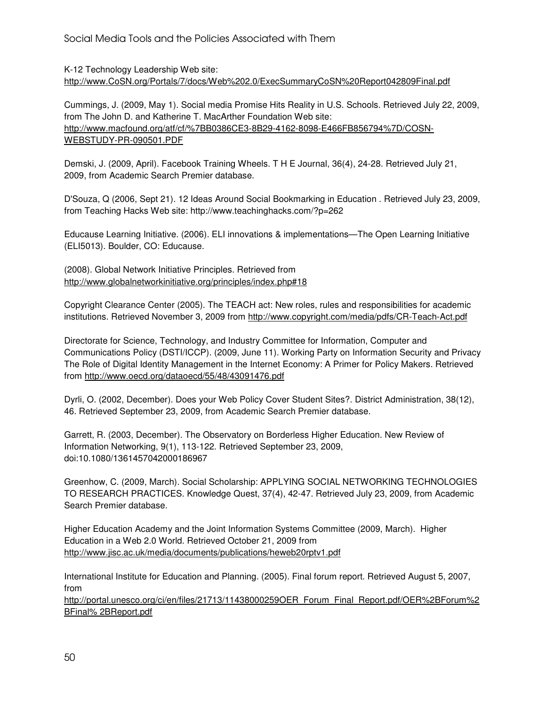K-12 Technology Leadership Web site: http://www.CoSN.org/Portals/7/docs/Web%202.0/ExecSummaryCoSN%20Report042809Final.pdf

Cummings, J. (2009, May 1). Social media Promise Hits Reality in U.S. Schools. Retrieved July 22, 2009, from The John D. and Katherine T. MacArther Foundation Web site: http://www.macfound.org/atf/cf/%7BB0386CE3-8B29-4162-8098-E466FB856794%7D/COSN-WEBSTUDY-PR-090501.PDF

Demski, J. (2009, April). Facebook Training Wheels. T H E Journal, 36(4), 24-28. Retrieved July 21, 2009, from Academic Search Premier database.

D'Souza, Q (2006, Sept 21). 12 Ideas Around Social Bookmarking in Education . Retrieved July 23, 2009, from Teaching Hacks Web site: http://www.teachinghacks.com/?p=262

Educause Learning Initiative. (2006). ELI innovations & implementations—The Open Learning Initiative (ELI5013). Boulder, CO: Educause.

(2008). Global Network Initiative Principles. Retrieved from http://www.globalnetworkinitiative.org/principles/index.php#18

Copyright Clearance Center (2005). The TEACH act: New roles, rules and responsibilities for academic institutions. Retrieved November 3, 2009 from http://www.copyright.com/media/pdfs/CR-Teach-Act.pdf

Directorate for Science, Technology, and Industry Committee for Information, Computer and Communications Policy (DSTI/ICCP). (2009, June 11). Working Party on Information Security and Privacy The Role of Digital Identity Management in the Internet Economy: A Primer for Policy Makers. Retrieved from http://www.oecd.org/dataoecd/55/48/43091476.pdf

Dyrli, O. (2002, December). Does your Web Policy Cover Student Sites?. District Administration, 38(12), 46. Retrieved September 23, 2009, from Academic Search Premier database.

Garrett, R. (2003, December). The Observatory on Borderless Higher Education. New Review of Information Networking, 9(1), 113-122. Retrieved September 23, 2009, doi:10.1080/1361457042000186967

Greenhow, C. (2009, March). Social Scholarship: APPLYING SOCIAL NETWORKING TECHNOLOGIES TO RESEARCH PRACTICES. Knowledge Quest, 37(4), 42-47. Retrieved July 23, 2009, from Academic Search Premier database.

Higher Education Academy and the Joint Information Systems Committee (2009, March). Higher Education in a Web 2.0 World. Retrieved October 21, 2009 from http://www.jisc.ac.uk/media/documents/publications/heweb20rptv1.pdf

International Institute for Education and Planning. (2005). Final forum report. Retrieved August 5, 2007, from

http://portal.unesco.org/ci/en/files/21713/11438000259OER\_Forum\_Final\_Report.pdf/OER%2BForum%2 BFinal% 2BReport.pdf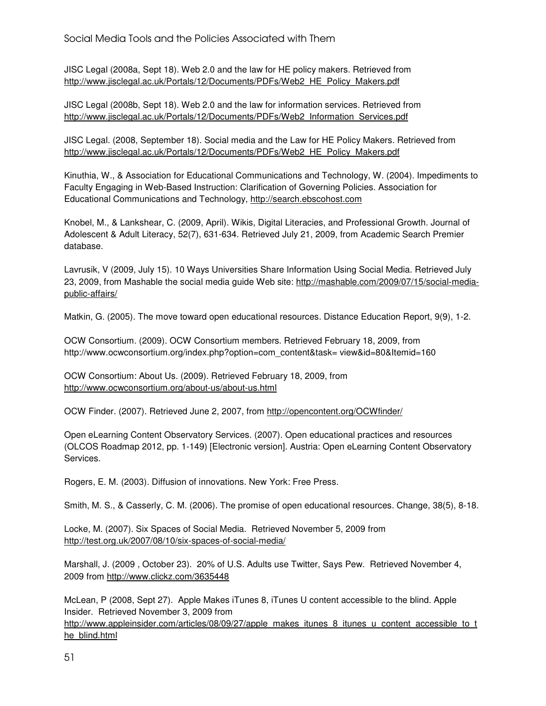Social Media Tools and the Policies Associated with Them

JISC Legal (2008a, Sept 18). Web 2.0 and the law for HE policy makers. Retrieved from http://www.jisclegal.ac.uk/Portals/12/Documents/PDFs/Web2\_HE\_Policy\_Makers.pdf

JISC Legal (2008b, Sept 18). Web 2.0 and the law for information services. Retrieved from http://www.jisclegal.ac.uk/Portals/12/Documents/PDFs/Web2\_Information\_Services.pdf

JISC Legal. (2008, September 18). Social media and the Law for HE Policy Makers. Retrieved from http://www.jisclegal.ac.uk/Portals/12/Documents/PDFs/Web2\_HE\_Policy\_Makers.pdf

Kinuthia, W., & Association for Educational Communications and Technology, W. (2004). Impediments to Faculty Engaging in Web-Based Instruction: Clarification of Governing Policies. Association for Educational Communications and Technology, http://search.ebscohost.com

Knobel, M., & Lankshear, C. (2009, April). Wikis, Digital Literacies, and Professional Growth. Journal of Adolescent & Adult Literacy, 52(7), 631-634. Retrieved July 21, 2009, from Academic Search Premier database.

Lavrusik, V (2009, July 15). 10 Ways Universities Share Information Using Social Media. Retrieved July 23, 2009, from Mashable the social media guide Web site: http://mashable.com/2009/07/15/social-mediapublic-affairs/

Matkin, G. (2005). The move toward open educational resources. Distance Education Report, 9(9), 1-2.

OCW Consortium. (2009). OCW Consortium members. Retrieved February 18, 2009, from http://www.ocwconsortium.org/index.php?option=com\_content&task= view&id=80&Itemid=160

OCW Consortium: About Us. (2009). Retrieved February 18, 2009, from http://www.ocwconsortium.org/about-us/about-us.html

OCW Finder. (2007). Retrieved June 2, 2007, from http://opencontent.org/OCWfinder/

Open eLearning Content Observatory Services. (2007). Open educational practices and resources (OLCOS Roadmap 2012, pp. 1-149) [Electronic version]. Austria: Open eLearning Content Observatory Services.

Rogers, E. M. (2003). Diffusion of innovations. New York: Free Press.

Smith, M. S., & Casserly, C. M. (2006). The promise of open educational resources. Change, 38(5), 8-18.

Locke, M. (2007). Six Spaces of Social Media. Retrieved November 5, 2009 from http://test.org.uk/2007/08/10/six-spaces-of-social-media/

Marshall, J. (2009 , October 23). 20% of U.S. Adults use Twitter, Says Pew. Retrieved November 4, 2009 from http://www.clickz.com/3635448

McLean, P (2008, Sept 27). Apple Makes iTunes 8, iTunes U content accessible to the blind. Apple Insider. Retrieved November 3, 2009 from

http://www.appleinsider.com/articles/08/09/27/apple\_makes\_itunes\_8\_itunes\_u\_content\_accessible\_to\_t he\_blind.html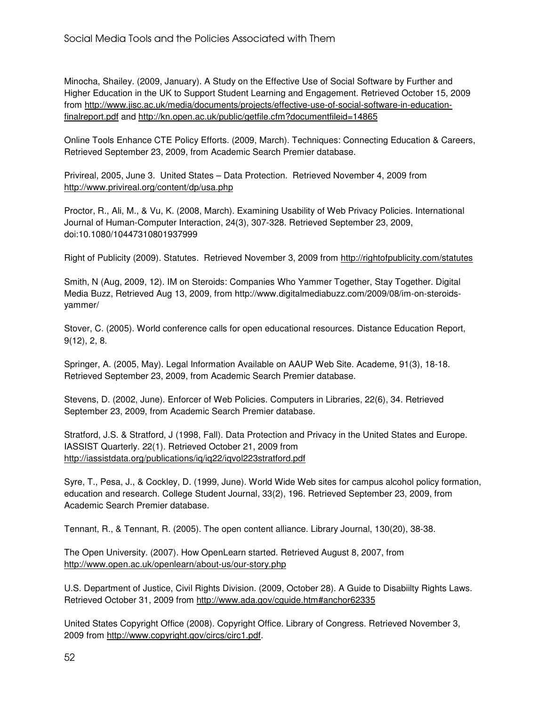Minocha, Shailey. (2009, January). A Study on the Effective Use of Social Software by Further and Higher Education in the UK to Support Student Learning and Engagement. Retrieved October 15, 2009 from http://www.jisc.ac.uk/media/documents/projects/effective-use-of-social-software-in-educationfinalreport.pdf and http://kn.open.ac.uk/public/getfile.cfm?documentfileid=14865

Online Tools Enhance CTE Policy Efforts. (2009, March). Techniques: Connecting Education & Careers, Retrieved September 23, 2009, from Academic Search Premier database.

Privireal, 2005, June 3. United States – Data Protection. Retrieved November 4, 2009 from http://www.privireal.org/content/dp/usa.php

Proctor, R., Ali, M., & Vu, K. (2008, March). Examining Usability of Web Privacy Policies. International Journal of Human-Computer Interaction, 24(3), 307-328. Retrieved September 23, 2009, doi:10.1080/10447310801937999

Right of Publicity (2009). Statutes. Retrieved November 3, 2009 from http://rightofpublicity.com/statutes

Smith, N (Aug, 2009, 12). IM on Steroids: Companies Who Yammer Together, Stay Together. Digital Media Buzz, Retrieved Aug 13, 2009, from http://www.digitalmediabuzz.com/2009/08/im-on-steroidsyammer/

Stover, C. (2005). World conference calls for open educational resources. Distance Education Report, 9(12), 2, 8.

Springer, A. (2005, May). Legal Information Available on AAUP Web Site. Academe, 91(3), 18-18. Retrieved September 23, 2009, from Academic Search Premier database.

Stevens, D. (2002, June). Enforcer of Web Policies. Computers in Libraries, 22(6), 34. Retrieved September 23, 2009, from Academic Search Premier database.

Stratford, J.S. & Stratford, J (1998, Fall). Data Protection and Privacy in the United States and Europe. IASSIST Quarterly. 22(1). Retrieved October 21, 2009 from http://iassistdata.org/publications/iq/iq22/iqvol223stratford.pdf

Syre, T., Pesa, J., & Cockley, D. (1999, June). World Wide Web sites for campus alcohol policy formation, education and research. College Student Journal, 33(2), 196. Retrieved September 23, 2009, from Academic Search Premier database.

Tennant, R., & Tennant, R. (2005). The open content alliance. Library Journal, 130(20), 38-38.

The Open University. (2007). How OpenLearn started. Retrieved August 8, 2007, from http://www.open.ac.uk/openlearn/about-us/our-story.php

U.S. Department of Justice, Civil Rights Division. (2009, October 28). A Guide to Disabiilty Rights Laws. Retrieved October 31, 2009 from http://www.ada.gov/cguide.htm#anchor62335

United States Copyright Office (2008). Copyright Office. Library of Congress. Retrieved November 3, 2009 from http://www.copyright.gov/circs/circ1.pdf.